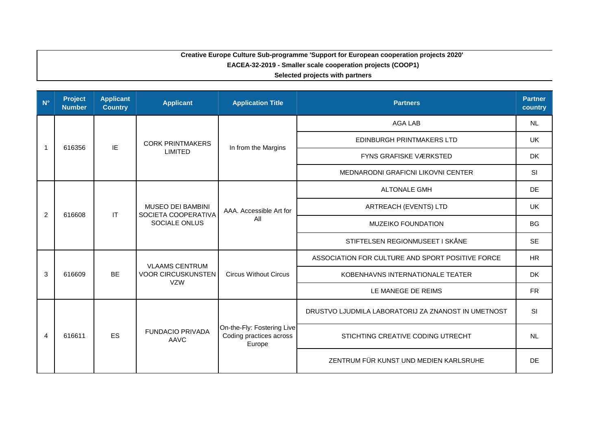## **Creative Europe Culture Sub-programme 'Support for European cooperation projects 2020' EACEA-32-2019 - Smaller scale cooperation projects (COOP1)**

**Selected projects with partners**

| $N^{\circ}$    | <b>Project</b><br><b>Number</b> | <b>Applicant</b><br><b>Country</b> | <b>Applicant</b>                                                 | <b>Application Title</b>                                        | <b>Partners</b>                                     | <b>Partner</b><br>country |
|----------------|---------------------------------|------------------------------------|------------------------------------------------------------------|-----------------------------------------------------------------|-----------------------------------------------------|---------------------------|
|                |                                 |                                    |                                                                  |                                                                 | <b>AGA LAB</b>                                      | <b>NL</b>                 |
| -1             | 616356                          | IE                                 | <b>CORK PRINTMAKERS</b>                                          | In from the Margins                                             | EDINBURGH PRINTMAKERS LTD                           | UK                        |
|                |                                 |                                    | <b>LIMITED</b>                                                   |                                                                 | <b>FYNS GRAFISKE VÆRKSTED</b>                       | <b>DK</b>                 |
|                |                                 |                                    |                                                                  |                                                                 | MEDNARODNI GRAFICNI LIKOVNI CENTER                  | SI                        |
|                |                                 |                                    |                                                                  |                                                                 | <b>ALTONALE GMH</b>                                 | <b>DE</b>                 |
| $\overline{2}$ | 616608                          | IT                                 | <b>MUSEO DEI BAMBINI</b><br>SOCIETA COOPERATIVA<br>SOCIALE ONLUS | AAA. Accessible Art for<br>All                                  | ARTREACH (EVENTS) LTD                               | <b>UK</b>                 |
|                |                                 |                                    |                                                                  |                                                                 | <b>MUZEIKO FOUNDATION</b>                           | <b>BG</b>                 |
|                |                                 |                                    |                                                                  |                                                                 | STIFTELSEN REGIONMUSEET I SKÅNE                     | <b>SE</b>                 |
|                |                                 | <b>BE</b>                          | <b>VLAAMS CENTRUM</b><br><b>VOOR CIRCUSKUNSTEN</b><br><b>VZW</b> | <b>Circus Without Circus</b>                                    | ASSOCIATION FOR CULTURE AND SPORT POSITIVE FORCE    | <b>HR</b>                 |
| 3              | 616609                          |                                    |                                                                  |                                                                 | KOBENHAVNS INTERNATIONALE TEATER                    | <b>DK</b>                 |
|                |                                 |                                    |                                                                  |                                                                 | LE MANEGE DE REIMS                                  | <b>FR</b>                 |
|                |                                 |                                    |                                                                  |                                                                 | DRUSTVO LJUDMILA LABORATORIJ ZA ZNANOST IN UMETNOST | SI                        |
| $\overline{4}$ | 616611                          | ES                                 | <b>FUNDACIO PRIVADA</b><br>AAVC                                  | On-the-Fly: Fostering Live<br>Coding practices across<br>Europe | STICHTING CREATIVE CODING UTRECHT                   | <b>NL</b>                 |
|                |                                 |                                    |                                                                  |                                                                 | ZENTRUM FÜR KUNST UND MEDIEN KARLSRUHE              | <b>DE</b>                 |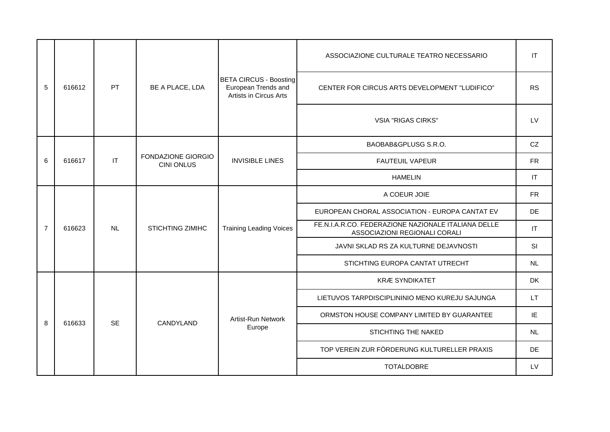|                |        |           |                                                |                                                                                | ASSOCIAZIONE CULTURALE TEATRO NECESSARIO                                             | IT        |
|----------------|--------|-----------|------------------------------------------------|--------------------------------------------------------------------------------|--------------------------------------------------------------------------------------|-----------|
| 5              | 616612 | PT        | BE A PLACE, LDA                                | <b>BETA CIRCUS - Boosting</b><br>European Trends and<br>Artists in Circus Arts | CENTER FOR CIRCUS ARTS DEVELOPMENT "LUDIFICO"                                        | <b>RS</b> |
|                |        |           |                                                |                                                                                | <b>VSIA "RIGAS CIRKS"</b>                                                            | LV        |
|                |        |           |                                                | <b>INVISIBLE LINES</b>                                                         | BAOBAB&GPLUSG S.R.O.                                                                 | CZ        |
| 6              | 616617 | IT        | <b>FONDAZIONE GIORGIO</b><br><b>CINI ONLUS</b> |                                                                                | <b>FAUTEUIL VAPEUR</b>                                                               | <b>FR</b> |
|                |        |           |                                                |                                                                                | <b>HAMELIN</b>                                                                       | IT        |
|                | 616623 | <b>NL</b> | <b>STICHTING ZIMIHC</b>                        | <b>Training Leading Voices</b>                                                 | A COEUR JOIE                                                                         | <b>FR</b> |
|                |        |           |                                                |                                                                                | EUROPEAN CHORAL ASSOCIATION - EUROPA CANTAT EV                                       | DE        |
| $\overline{7}$ |        |           |                                                |                                                                                | FE.N.I.A.R.CO. FEDERAZIONE NAZIONALE ITALIANA DELLE<br>ASSOCIAZIONI REGIONALI CORALI | $\sf IT$  |
|                |        |           |                                                |                                                                                | JAVNI SKLAD RS ZA KULTURNE DEJAVNOSTI                                                | SI        |
|                |        |           |                                                |                                                                                | STICHTING EUROPA CANTAT UTRECHT                                                      | NL        |
|                |        |           |                                                |                                                                                | <b>KRÆ SYNDIKATET</b>                                                                | <b>DK</b> |
|                |        |           |                                                |                                                                                | LIETUVOS TARPDISCIPLININIO MENO KUREJU SAJUNGA                                       | <b>LT</b> |
| 8              | 616633 | <b>SE</b> | CANDYLAND                                      | Artist-Run Network                                                             | ORMSTON HOUSE COMPANY LIMITED BY GUARANTEE                                           | IE        |
|                |        |           |                                                | Europe                                                                         | STICHTING THE NAKED                                                                  | <b>NL</b> |
|                |        |           |                                                |                                                                                | TOP VEREIN ZUR FÖRDERUNG KULTURELLER PRAXIS                                          | <b>DE</b> |
|                |        |           |                                                |                                                                                | <b>TOTALDOBRE</b>                                                                    | LV        |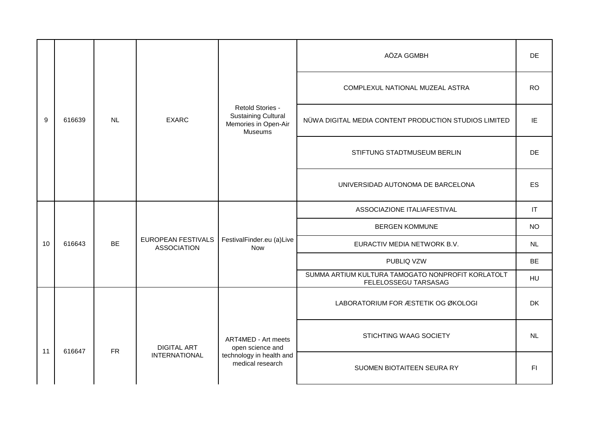|    |        |           | <b>EXARC</b>                                          |                                                                                   | AÖZA GGMBH                                                                | DE.       |
|----|--------|-----------|-------------------------------------------------------|-----------------------------------------------------------------------------------|---------------------------------------------------------------------------|-----------|
|    |        |           |                                                       |                                                                                   | COMPLEXUL NATIONAL MUZEAL ASTRA                                           | <b>RO</b> |
| 9  | 616639 | <b>NL</b> |                                                       | Retold Stories -<br><b>Sustaining Cultural</b><br>Memories in Open-Air<br>Museums | NÜWA DIGITAL MEDIA CONTENT PRODUCTION STUDIOS LIMITED                     | IE        |
|    |        |           |                                                       |                                                                                   | STIFTUNG STADTMUSEUM BERLIN                                               | <b>DE</b> |
|    |        |           |                                                       |                                                                                   | UNIVERSIDAD AUTONOMA DE BARCELONA                                         | <b>ES</b> |
|    |        |           | EUROPEAN FESTIVALS<br><b>BE</b><br><b>ASSOCIATION</b> | FestivalFinder.eu (a)Live<br>Now                                                  | ASSOCIAZIONE ITALIAFESTIVAL                                               | IT        |
|    |        |           |                                                       |                                                                                   | <b>BERGEN KOMMUNE</b>                                                     | <b>NO</b> |
| 10 | 616643 |           |                                                       |                                                                                   | EURACTIV MEDIA NETWORK B.V.                                               | <b>NL</b> |
|    |        |           |                                                       |                                                                                   | PUBLIQ VZW                                                                | <b>BE</b> |
|    |        |           |                                                       |                                                                                   | SUMMA ARTIUM KULTURA TAMOGATO NONPROFIT KORLATOLT<br>FELELOSSEGU TARSASAG | HU        |
|    |        |           |                                                       |                                                                                   | LABORATORIUM FOR ÆSTETIK OG ØKOLOGI                                       | <b>DK</b> |
| 11 | 616647 | <b>FR</b> | <b>DIGITAL ART</b>                                    | ART4MED - Art meets<br>open science and                                           | STICHTING WAAG SOCIETY                                                    | <b>NL</b> |
|    |        |           | <b>INTERNATIONAL</b>                                  | technology in health and<br>medical research                                      | SUOMEN BIOTAITEEN SEURA RY                                                | FI.       |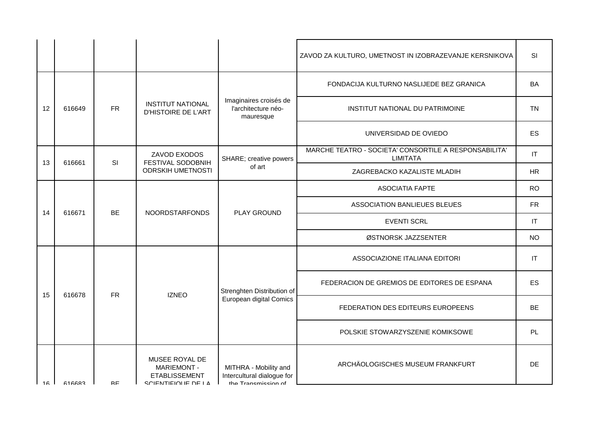|    |        |           |                                                                                     |                                                                            | ZAVOD ZA KULTURO, UMETNOST IN IZOBRAZEVANJE KERSNIKOVA                   | SI                         |
|----|--------|-----------|-------------------------------------------------------------------------------------|----------------------------------------------------------------------------|--------------------------------------------------------------------------|----------------------------|
|    |        |           | <b>INSTITUT NATIONAL</b><br><b>D'HISTOIRE DE L'ART</b>                              |                                                                            | FONDACIJA KULTURNO NASLIJEDE BEZ GRANICA                                 | BA                         |
| 12 | 616649 | <b>FR</b> |                                                                                     | Imaginaires croisés de<br>l'architecture néo-<br>mauresque                 | INSTITUT NATIONAL DU PATRIMOINE                                          | <b>TN</b>                  |
|    |        |           |                                                                                     |                                                                            | UNIVERSIDAD DE OVIEDO                                                    | ES                         |
| 13 | 616661 | SI        | ZAVOD EXODOS<br>FESTIVAL SODOBNIH                                                   | SHARE; creative powers                                                     | MARCHE TEATRO - SOCIETA' CONSORTILE A RESPONSABILITA'<br><b>LIMITATA</b> | $\mathsf{I}\mathsf{T}$     |
|    |        |           | <b>ODRSKIH UMETNOSTI</b>                                                            | of art                                                                     | ZAGREBACKO KAZALISTE MLADIH                                              | HR                         |
|    |        |           | <b>BE</b><br><b>NOORDSTARFONDS</b>                                                  | PLAY GROUND                                                                | <b>ASOCIATIA FAPTE</b>                                                   | <b>RO</b>                  |
| 14 | 616671 |           |                                                                                     |                                                                            | ASSOCIATION BANLIEUES BLEUES                                             | ${\sf FR}$                 |
|    |        |           |                                                                                     |                                                                            | <b>EVENTI SCRL</b>                                                       | $\mathsf{I}\mathsf{T}$     |
|    |        |           |                                                                                     |                                                                            | ØSTNORSK JAZZSENTER                                                      | <b>NO</b>                  |
|    |        |           |                                                                                     |                                                                            | ASSOCIAZIONE ITALIANA EDITORI                                            | $\ensuremath{\mathsf{IT}}$ |
| 15 | 616678 | <b>FR</b> | <b>IZNEO</b>                                                                        | Strenghten Distribution of                                                 | FEDERACION DE GREMIOS DE EDITORES DE ESPANA                              | ES                         |
|    |        |           |                                                                                     | European digital Comics                                                    | FEDERATION DES EDITEURS EUROPEENS                                        | <b>BE</b>                  |
|    |        |           |                                                                                     |                                                                            | POLSKIE STOWARZYSZENIE KOMIKSOWE                                         | PL                         |
| 16 | 616683 | <b>RF</b> | MUSEE ROYAL DE<br><b>MARIEMONT -</b><br><b>ETABLISSEMENT</b><br>SCIENTIFIOLIE DE LA | MITHRA - Mobility and<br>Intercultural dialogue for<br>the Tranemiecion of | ARCHÄOLOGISCHES MUSEUM FRANKFURT                                         | <b>DE</b>                  |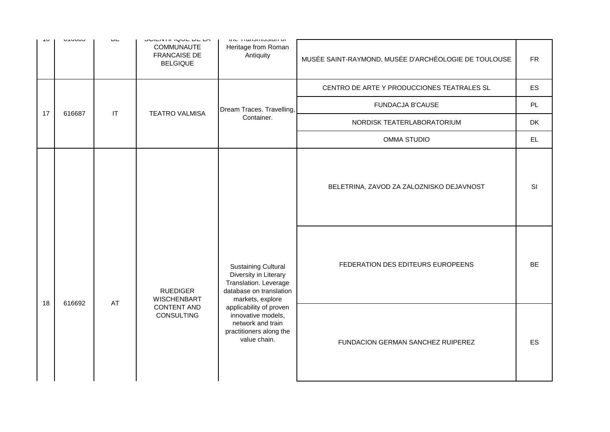| ט ו | <b>UTUUU</b> | ◡∟                     | <b>UVILITIII IWUL DE LA</b><br><b>COMMUNAUTE</b><br><b>FRANCAISE DE</b><br><b>BELGIQUE</b> | the Transmission or<br>Heritage from Roman<br>Antiquity                                                                     | MUSÉE SAINT-RAYMOND, MUSÉE D'ARCHÉOLOGIE DE TOULOUSE | <b>FR</b> |
|-----|--------------|------------------------|--------------------------------------------------------------------------------------------|-----------------------------------------------------------------------------------------------------------------------------|------------------------------------------------------|-----------|
|     |              |                        |                                                                                            |                                                                                                                             | CENTRO DE ARTE Y PRODUCCIONES TEATRALES SL           | ES        |
| 17  | 616687       | $\mathsf{I}\mathsf{T}$ | <b>TEATRO VALMISA</b>                                                                      | Dream Traces. Travelling,                                                                                                   | <b>FUNDACJA B'CAUSE</b>                              | PL        |
|     |              |                        |                                                                                            | Container.                                                                                                                  | NORDISK TEATERLABORATORIUM                           | <b>DK</b> |
|     |              |                        | <b>OMMA STUDIO</b>                                                                         | EL.                                                                                                                         |                                                      |           |
|     |              |                        |                                                                                            |                                                                                                                             | BELETRINA, ZAVOD ZA ZALOZNISKO DEJAVNOST             | <b>SI</b> |
|     |              | AT                     | <b>RUEDIGER</b><br><b>WISCHENBART</b>                                                      | <b>Sustaining Cultural</b><br>Diversity in Literary<br>Translation. Leverage<br>database on translation<br>markets, explore | FEDERATION DES EDITEURS EUROPEENS                    | <b>BE</b> |
| 18  | 616692       |                        | <b>CONTENT AND</b><br>CONSULTING                                                           | applicability of proven<br>innovative models,<br>network and train<br>practitioners along the<br>value chain.               | FUNDACION GERMAN SANCHEZ RUIPEREZ                    | ES        |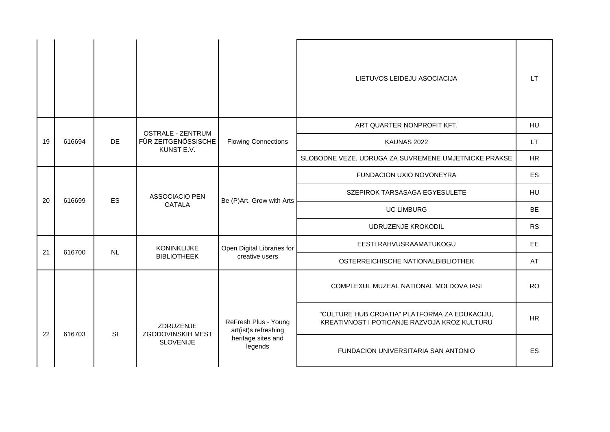|    |        |                                                |                                       |                                              | LIETUVOS LEIDEJU ASOCIACIJA                                                                   | LT.       |
|----|--------|------------------------------------------------|---------------------------------------|----------------------------------------------|-----------------------------------------------------------------------------------------------|-----------|
|    |        | <b>OSTRALE - ZENTRUM</b>                       |                                       | ART QUARTER NONPROFIT KFT.                   | <b>HU</b>                                                                                     |           |
| 19 | 616694 | FÜR ZEITGENÖSSISCHE<br><b>DE</b><br>KUNST E.V. | <b>Flowing Connections</b>            | KAUNAS 2022                                  | LT.                                                                                           |           |
|    |        |                                                |                                       |                                              | SLOBODNE VEZE, UDRUGA ZA SUVREMENE UMJETNICKE PRAKSE                                          | <b>HR</b> |
|    |        |                                                | ASSOCIACIO PEN<br>CATALA              | Be (P)Art. Grow with Arts                    | FUNDACION UXIO NOVONEYRA                                                                      | ES        |
|    |        | <b>ES</b>                                      |                                       |                                              | SZEPIROK TARSASAGA EGYESULETE                                                                 | <b>HU</b> |
| 20 | 616699 |                                                |                                       |                                              | <b>UC LIMBURG</b>                                                                             | <b>BE</b> |
|    |        |                                                |                                       |                                              | UDRUZENJE KROKODIL                                                                            | <b>RS</b> |
| 21 | 616700 | NL                                             | <b>KONINKLIJKE</b>                    | Open Digital Libraries for                   | EESTI RAHVUSRAAMATUKOGU                                                                       | <b>EE</b> |
|    |        |                                                | <b>BIBLIOTHEEK</b>                    | creative users                               | OSTERREICHISCHE NATIONALBIBLIOTHEK                                                            | AT        |
|    |        |                                                |                                       |                                              | COMPLEXUL MUZEAL NATIONAL MOLDOVA IASI                                                        | <b>RO</b> |
| 22 | 616703 | SI                                             | ZDRUZENJE<br><b>ZGODOVINSKIH MEST</b> | ReFresh Plus - Young<br>art(ist)s refreshing | "CULTURE HUB CROATIA" PLATFORMA ZA EDUKACIJU,<br>KREATIVNOST I POTICANJE RAZVOJA KROZ KULTURU | <b>HR</b> |
|    |        |                                                | <b>SLOVENIJE</b>                      | heritage sites and<br>legends                | FUNDACION UNIVERSITARIA SAN ANTONIO                                                           | ES        |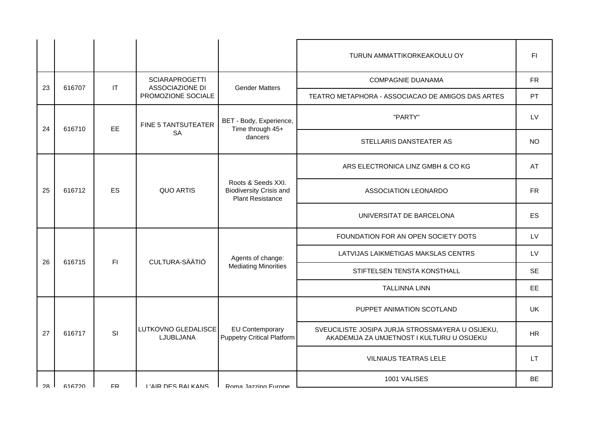|    |               |     |                                              |                                                                                 | TURUN AMMATTIKORKEAKOULU OY                                                                    | F1        |
|----|---------------|-----|----------------------------------------------|---------------------------------------------------------------------------------|------------------------------------------------------------------------------------------------|-----------|
|    |               |     | <b>SCIARAPROGETTI</b>                        |                                                                                 | <b>COMPAGNIE DUANAMA</b>                                                                       | <b>FR</b> |
| 23 | 616707        | IT  | <b>ASSOCIAZIONE DI</b><br>PROMOZIONE SOCIALE | <b>Gender Matters</b>                                                           | TEATRO METAPHORA - ASSOCIACAO DE AMIGOS DAS ARTES                                              | PT        |
| 24 | 616710        | EE  | FINE 5 TANTSUTEATER                          | BET - Body, Experience,<br>Time through 45+                                     | "PARTY"                                                                                        | LV        |
|    |               |     | <b>SA</b>                                    | dancers                                                                         | STELLARIS DANSTEATER AS                                                                        | <b>NO</b> |
|    |               |     | <b>QUO ARTIS</b>                             | Roots & Seeds XXI.<br><b>Biodiversity Crisis and</b><br><b>Plant Resistance</b> | ARS ELECTRONICA LINZ GMBH & CO KG                                                              | AT        |
| 25 | 616712        | ES  |                                              |                                                                                 | ASSOCIATION LEONARDO                                                                           | FR.       |
|    |               |     |                                              |                                                                                 | UNIVERSITAT DE BARCELONA                                                                       | ES        |
|    |               | F1  | CULTURA-SÄÄTIÖ                               | Agents of change:                                                               | FOUNDATION FOR AN OPEN SOCIETY DOTS                                                            | LV        |
| 26 | 616715        |     |                                              |                                                                                 | LATVIJAS LAIKMETIGAS MAKSLAS CENTRS                                                            | LV        |
|    |               |     |                                              | <b>Mediating Minorities</b>                                                     | STIFTELSEN TENSTA KONSTHALL                                                                    | <b>SE</b> |
|    |               |     |                                              |                                                                                 | <b>TALLINNA LINN</b>                                                                           | EE        |
|    |               |     |                                              |                                                                                 | PUPPET ANIMATION SCOTLAND                                                                      | <b>UK</b> |
| 27 | 616717        | SI  | LUTKOVNO GLEDALISCE<br>LJUBLJANA             | <b>EU Contemporary</b><br>Puppetry Critical Platform                            | SVEUCILISTE JOSIPA JURJA STROSSMAYERA U OSIJEKU,<br>AKADEMIJA ZA UMJETNOST I KULTURU U OSIJEKU | <b>HR</b> |
|    |               |     |                                              |                                                                                 | <b>VILNIAUS TEATRAS LELE</b>                                                                   | <b>LT</b> |
| 28 | <b>616720</b> | FR. | <b>I'AIR DES RAI KANS</b>                    | Roma Jazzing Furone                                                             | 1001 VALISES                                                                                   | BE.       |
|    |               |     |                                              |                                                                                 |                                                                                                |           |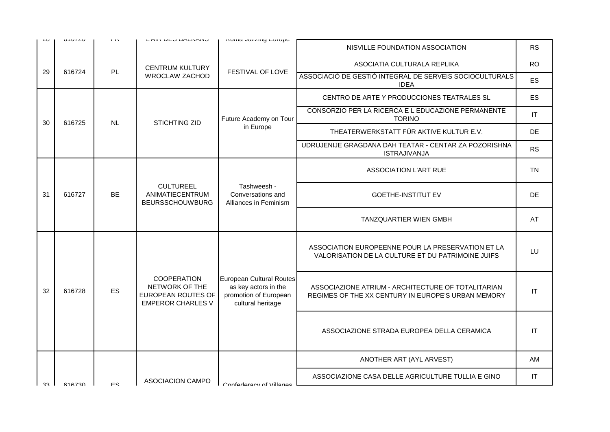| ںے  | U1U1U  | 1.13                                                                                                | LAIN DEU DALIVANU                                                                              | <b>INVITIA VALLITY LUIVPU</b>                                                                            | NISVILLE FOUNDATION ASSOCIATION                                                                        | <b>RS</b>              |
|-----|--------|-----------------------------------------------------------------------------------------------------|------------------------------------------------------------------------------------------------|----------------------------------------------------------------------------------------------------------|--------------------------------------------------------------------------------------------------------|------------------------|
|     |        |                                                                                                     | <b>CENTRUM KULTURY</b>                                                                         |                                                                                                          | ASOCIATIA CULTURALA REPLIKA                                                                            | <b>RO</b>              |
| 29  | 616724 | PL                                                                                                  | <b>WROCLAW ZACHOD</b>                                                                          | FESTIVAL OF LOVE                                                                                         | ASSOCIACIÓ DE GESTIÓ INTEGRAL DE SERVEIS SOCIOCULTURALS<br><b>IDEA</b>                                 | ES                     |
|     |        |                                                                                                     |                                                                                                |                                                                                                          | CENTRO DE ARTE Y PRODUCCIONES TEATRALES SL                                                             | <b>ES</b>              |
| 30  | 616725 | <b>NL</b>                                                                                           | <b>STICHTING ZID</b>                                                                           | Future Academy on Tour                                                                                   | CONSORZIO PER LA RICERCA E L EDUCAZIONE PERMANENTE<br><b>TORINO</b>                                    | $\mathsf{I}\mathsf{T}$ |
|     |        |                                                                                                     |                                                                                                | in Europe                                                                                                | THEATERWERKSTATT FÜR AKTIVE KULTUR E.V.                                                                | DE                     |
|     |        |                                                                                                     |                                                                                                |                                                                                                          | UDRUJENIJE GRAGDANA DAH TEATAR - CENTAR ZA POZORISHNA<br><b>ISTRAJIVANJA</b>                           | <b>RS</b>              |
|     |        |                                                                                                     |                                                                                                | Tashweesh -<br>Conversations and<br>Alliances in Feminism                                                | <b>ASSOCIATION L'ART RUE</b>                                                                           | <b>TN</b>              |
| 31  | 616727 | <b>BE</b>                                                                                           | <b>CULTUREEL</b><br>ANIMATIECENTRUM<br><b>BEURSSCHOUWBURG</b>                                  |                                                                                                          | <b>GOETHE-INSTITUT EV</b>                                                                              | DE.                    |
|     |        |                                                                                                     |                                                                                                |                                                                                                          | <b>TANZQUARTIER WIEN GMBH</b>                                                                          | AT                     |
|     |        |                                                                                                     |                                                                                                |                                                                                                          | ASSOCIATION EUROPEENNE POUR LA PRESERVATION ET LA<br>VALORISATION DE LA CULTURE ET DU PATRIMOINE JUIFS | LU                     |
| 32  | 616728 | <b>COOPERATION</b><br>NETWORK OF THE<br>ES<br><b>EUROPEAN ROUTES OF</b><br><b>EMPEROR CHARLES V</b> | European Cultural Routes<br>as key actors in the<br>promotion of European<br>cultural heritage | ASSOCIAZIONE ATRIUM - ARCHITECTURE OF TOTALITARIAN<br>REGIMES OF THE XX CENTURY IN EUROPE'S URBAN MEMORY | IT                                                                                                     |                        |
|     |        |                                                                                                     |                                                                                                |                                                                                                          | ASSOCIAZIONE STRADA EUROPEA DELLA CERAMICA                                                             | IT                     |
|     |        |                                                                                                     |                                                                                                |                                                                                                          | ANOTHER ART (AYL ARVEST)                                                                               | AM                     |
| ו ר | 616730 | F.S.                                                                                                | <b>ASOCIACION CAMPO</b>                                                                        |                                                                                                          | ASSOCIAZIONE CASA DELLE AGRICULTURE TULLIA E GINO                                                      | IT                     |
|     |        |                                                                                                     |                                                                                                | Confederacy of Villages                                                                                  |                                                                                                        |                        |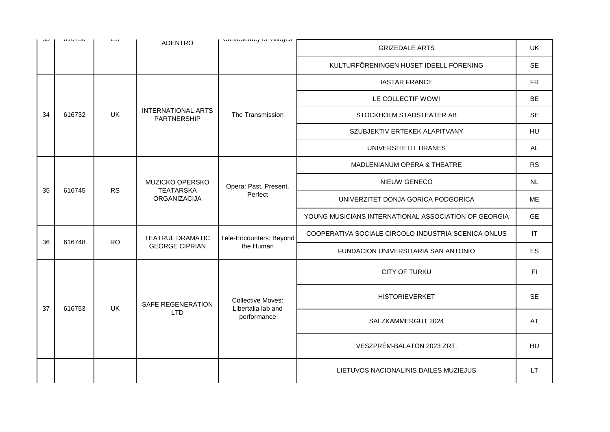| ںں | 010100 | ∟ບ        | <b>ADENTRO</b>                                             | ODITIONSTONY OF VIRGUS                         | <b>GRIZEDALE ARTS</b>                                | UK        |
|----|--------|-----------|------------------------------------------------------------|------------------------------------------------|------------------------------------------------------|-----------|
|    |        |           |                                                            |                                                | KULTURFÖRENINGEN HUSET IDEELL FÖRENING               | <b>SE</b> |
|    |        |           |                                                            |                                                | <b>IASTAR FRANCE</b>                                 | <b>FR</b> |
|    | 616732 |           |                                                            |                                                | LE COLLECTIF WOW!                                    | BE        |
| 34 |        | UK        | <b>INTERNATIONAL ARTS</b><br>PARTNERSHIP                   | The Transmission                               | STOCKHOLM STADSTEATER AB                             | SE        |
|    |        |           |                                                            |                                                | SZUBJEKTIV ERTEKEK ALAPITVANY                        | HU        |
|    |        |           |                                                            |                                                | UNIVERSITETI I TIRANES                               | <b>AL</b> |
|    |        |           | MUZICKO OPERSKO<br><b>TEATARSKA</b><br><b>ORGANIZACIJA</b> |                                                | MADLENIANUM OPERA & THEATRE                          | <b>RS</b> |
| 35 | 616745 | <b>RS</b> |                                                            | Opera: Past, Present,<br>Perfect               | NIEUW GENECO                                         | <b>NL</b> |
|    |        |           |                                                            |                                                | UNIVERZITET DONJA GORICA PODGORICA                   | <b>ME</b> |
|    |        |           |                                                            |                                                | YOUNG MUSICIANS INTERNATIONAL ASSOCIATION OF GEORGIA | <b>GE</b> |
| 36 | 616748 | <b>RO</b> | <b>TEATRUL DRAMATIC</b>                                    | Tele-Encounters: Beyond                        | COOPERATIVA SOCIALE CIRCOLO INDUSTRIA SCENICA ONLUS  | IT        |
|    |        |           | <b>GEORGE CIPRIAN</b>                                      | the Human                                      | FUNDACION UNIVERSITARIA SAN ANTONIO                  | <b>ES</b> |
|    |        |           |                                                            |                                                | <b>CITY OF TURKU</b>                                 | F1        |
| 37 | 616753 | <b>UK</b> | <b>SAFE REGENERATION</b>                                   | <b>Collective Moves:</b><br>Libertalia lab and | <b>HISTORIEVERKET</b>                                | <b>SE</b> |
|    |        |           | <b>LTD</b>                                                 | performance                                    | SALZKAMMERGUT 2024                                   | AT        |
|    |        |           |                                                            |                                                | VESZPRÉM-BALATON 2023 ZRT.                           | HU        |
|    |        |           |                                                            |                                                | LIETUVOS NACIONALINIS DAILES MUZIEJUS                | LT.       |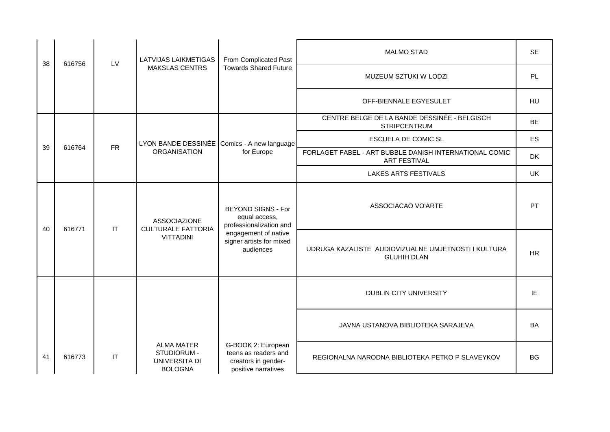| 38 | 616756                                           | LV                     | LATVIJAS LAIKMETIGAS                                                | From Complicated Past<br><b>Towards Shared Future</b>                                    | <b>MALMO STAD</b>                                                             | <b>SE</b> |
|----|--------------------------------------------------|------------------------|---------------------------------------------------------------------|------------------------------------------------------------------------------------------|-------------------------------------------------------------------------------|-----------|
|    |                                                  |                        | <b>MAKSLAS CENTRS</b>                                               |                                                                                          | MUZEUM SZTUKI W LODZI                                                         | PL        |
|    |                                                  |                        |                                                                     |                                                                                          | OFF-BIENNALE EGYESULET                                                        | HU        |
|    |                                                  |                        |                                                                     |                                                                                          | CENTRE BELGE DE LA BANDE DESSINÉE - BELGISCH<br><b>STRIPCENTRUM</b>           | <b>BE</b> |
|    | <b>FR</b><br>39<br>616764<br><b>ORGANISATION</b> |                        | LYON BANDE DESSINÉE                                                 | Comics - A new language<br>for Europe                                                    | <b>ESCUELA DE COMIC SL</b>                                                    | <b>ES</b> |
|    |                                                  |                        |                                                                     |                                                                                          | FORLAGET FABEL - ART BUBBLE DANISH INTERNATIONAL COMIC<br><b>ART FESTIVAL</b> | <b>DK</b> |
|    |                                                  |                        |                                                                     | <b>LAKES ARTS FESTIVALS</b>                                                              | <b>UK</b>                                                                     |           |
| 40 | 616771                                           | IT                     | <b>ASSOCIAZIONE</b>                                                 | <b>BEYOND SIGNS - For</b><br>equal access,<br>professionalization and                    | ASSOCIACAO VO'ARTE                                                            | PT        |
|    |                                                  |                        | <b>CULTURALE FATTORIA</b><br><b>VITTADINI</b>                       | engagement of native<br>signer artists for mixed<br>audiences                            | UDRUGA KAZALISTE AUDIOVIZUALNE UMJETNOSTI I KULTURA<br><b>GLUHIH DLAN</b>     | <b>HR</b> |
|    |                                                  |                        |                                                                     |                                                                                          | DUBLIN CITY UNIVERSITY                                                        | IE        |
|    |                                                  |                        |                                                                     |                                                                                          | JAVNA USTANOVA BIBLIOTEKA SARAJEVA                                            | <b>BA</b> |
| 41 | 616773                                           | $\mathsf{I}\mathsf{T}$ | <b>ALMA MATER</b><br>STUDIORUM -<br>UNIVERSITA DI<br><b>BOLOGNA</b> | G-BOOK 2: European<br>teens as readers and<br>creators in gender-<br>positive narratives | REGIONALNA NARODNA BIBLIOTEKA PETKO P SLAVEYKOV                               | <b>BG</b> |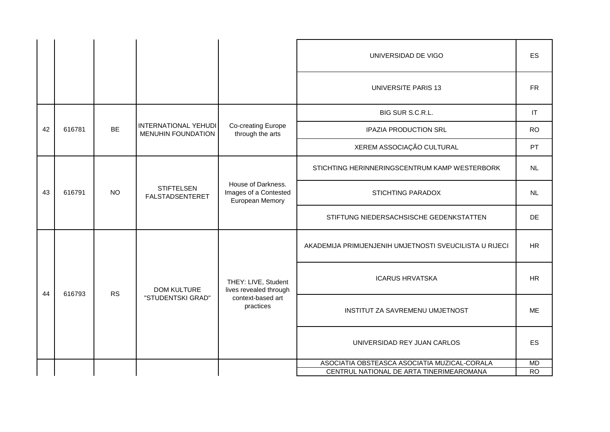|    |        |           |                                                   |                                                                | UNIVERSIDAD DE VIGO                                     | <b>ES</b>                   |    |
|----|--------|-----------|---------------------------------------------------|----------------------------------------------------------------|---------------------------------------------------------|-----------------------------|----|
|    |        |           |                                                   |                                                                | <b>UNIVERSITE PARIS 13</b>                              | <b>FR</b>                   |    |
|    |        |           |                                                   |                                                                | BIG SUR S.C.R.L.                                        | $ \mathsf{T} $              |    |
| 42 | 616781 | <b>BE</b> | INTERNATIONAL YEHUDI<br><b>MENUHIN FOUNDATION</b> | Co-creating Europe<br>through the arts                         | <b>IPAZIA PRODUCTION SRL</b>                            | <b>RO</b>                   |    |
|    |        |           |                                                   |                                                                | XEREM ASSOCIAÇÃO CULTURAL                               | PT                          |    |
|    |        |           | <b>STIFTELSEN</b><br><b>FALSTADSENTERET</b>       | House of Darkness.<br>Images of a Contested<br>European Memory | STICHTING HERINNERINGSCENTRUM KAMP WESTERBORK           | NL                          |    |
| 43 | 616791 | <b>NO</b> |                                                   |                                                                | <b>STICHTING PARADOX</b>                                | <b>NL</b>                   |    |
|    |        |           |                                                   |                                                                | STIFTUNG NIEDERSACHSISCHE GEDENKSTATTEN                 | <b>DE</b>                   |    |
|    |        |           |                                                   |                                                                | AKADEMIJA PRIMIJENJENIH UMJETNOSTI SVEUCILISTA U RIJECI | <b>HR</b>                   |    |
| 44 | 616793 | <b>RS</b> | <b>DOM KULTURE</b>                                | THEY: LIVE, Student<br>lives revealed through                  | <b>ICARUS HRVATSKA</b>                                  | <b>HR</b>                   |    |
|    |        |           | "STUDENTSKI GRAD"                                 | context-based art<br>practices                                 | INSTITUT ZA SAVREMENU UMJETNOST                         | <b>ME</b>                   |    |
|    |        |           |                                                   |                                                                |                                                         | UNIVERSIDAD REY JUAN CARLOS | ES |
|    |        |           |                                                   |                                                                | ASOCIATIA OBSTEASCA ASOCIATIA MUZICAL-CORALA            | <b>MD</b>                   |    |
|    |        |           |                                                   |                                                                | CENTRUL NATIONAL DE ARTA TINERIMEAROMANA                | <b>RO</b>                   |    |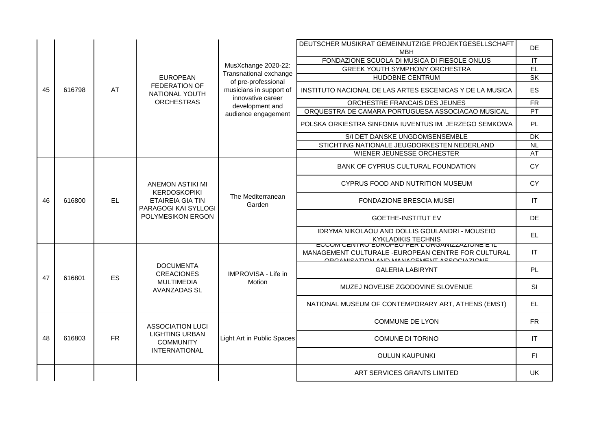|    |        |           |                                                                      |                                               | DEUTSCHER MUSIKRAT GEMEINNUTZIGE PROJEKTGESELLSCHAFT<br><b>MBH</b>                                                                | DE.                               |
|----|--------|-----------|----------------------------------------------------------------------|-----------------------------------------------|-----------------------------------------------------------------------------------------------------------------------------------|-----------------------------------|
|    |        |           |                                                                      |                                               | FONDAZIONE SCUOLA DI MUSICA DI FIESOLE ONLUS                                                                                      | $\overline{\mathsf{I}\mathsf{T}}$ |
|    |        |           | <b>EUROPEAN</b>                                                      | MusXchange 2020-22:                           | <b>GREEK YOUTH SYMPHONY ORCHESTRA</b>                                                                                             | EL                                |
|    |        |           |                                                                      | Transnational exchange<br>of pre-professional | <b>HUDOBNE CENTRUM</b>                                                                                                            | $\overline{\mathsf{SK}}$          |
| 45 | 616798 | AT        | FEDERATION OF<br>NATIONAL YOUTH                                      | musicians in support of                       | INSTITUTO NACIONAL DE LAS ARTES ESCENICAS Y DE LA MUSICA                                                                          | ES                                |
|    |        |           | <b>ORCHESTRAS</b>                                                    | innovative career<br>development and          | ORCHESTRE FRANCAIS DES JEUNES                                                                                                     | <b>FR</b>                         |
|    |        |           |                                                                      | audience engagement                           | ORQUESTRA DE CAMARA PORTUGUESA ASSOCIACAO MUSICAL                                                                                 | $\overline{PT}$                   |
|    |        |           |                                                                      |                                               | POLSKA ORKIESTRA SINFONIA IUVENTUS IM. JERZEGO SEMKOWA                                                                            | PL                                |
|    |        |           |                                                                      |                                               | S/I DET DANSKE UNGDOMSENSEMBLE                                                                                                    | $\overline{DK}$                   |
|    |        |           |                                                                      |                                               | STICHTING NATIONALE JEUGDORKESTEN NEDERLAND                                                                                       | $\overline{N}$                    |
|    |        |           |                                                                      |                                               | WIENER JEUNESSE ORCHESTER                                                                                                         | AT                                |
|    |        |           |                                                                      |                                               | BANK OF CYPRUS CULTURAL FOUNDATION                                                                                                | <b>CY</b>                         |
|    | 616800 |           | <b>ANEMON ASTIKI MI</b><br><b>KERDOSKOPIKI</b>                       | The Mediterranean<br>Garden                   | CYPRUS FOOD AND NUTRITION MUSEUM                                                                                                  | <b>CY</b>                         |
| 46 |        | <b>EL</b> | <b>ETAIREIA GIA TIN</b><br>PARAGOGI KAI SYLLOGI<br>POLYMESIKON ERGON |                                               | <b>FONDAZIONE BRESCIA MUSEI</b>                                                                                                   | <b>IT</b>                         |
|    |        |           |                                                                      |                                               | <b>GOETHE-INSTITUT EV</b>                                                                                                         | DE                                |
|    |        |           |                                                                      |                                               | IDRYMA NIKOLAOU AND DOLLIS GOULANDRI - MOUSEIO<br>KYKLADIKIS TECHNIS<br><del>EUUUM UENTRU EURUPEU PER L'URUANI</del> ZAZIUNE E IL | <b>EL</b>                         |
|    |        |           |                                                                      |                                               | MANAGEMENT CULTURALE - EUROPEAN CENTRE FOR CULTURAL<br><b>ODCANICATION AND MANACEMENT ACCOCIAZIONE</b>                            | $\mathsf{I}\mathsf{T}$            |
| 47 | 616801 | <b>ES</b> | <b>DOCUMENTA</b><br><b>CREACIONES</b>                                | IMPROVISA - Life in                           | <b>GALERIA LABIRYNT</b>                                                                                                           | PL                                |
|    |        |           | <b>MULTIMEDIA</b><br><b>AVANZADAS SL</b>                             | Motion                                        | MUZEJ NOVEJSE ZGODOVINE SLOVENIJE                                                                                                 | <b>SI</b>                         |
|    |        |           |                                                                      |                                               | NATIONAL MUSEUM OF CONTEMPORARY ART, ATHENS (EMST)                                                                                | EL                                |
|    |        |           | <b>ASSOCIATION LUCI</b>                                              |                                               | <b>COMMUNE DE LYON</b>                                                                                                            | <b>FR</b>                         |
| 48 | 616803 | <b>FR</b> | <b>LIGHTING URBAN</b><br><b>COMMUNITY</b>                            | Light Art in Public Spaces                    | <b>COMUNE DI TORINO</b>                                                                                                           | <b>IT</b>                         |
|    |        |           | <b>INTERNATIONAL</b>                                                 |                                               | <b>OULUN KAUPUNKI</b>                                                                                                             | F1                                |
|    |        |           |                                                                      |                                               | ART SERVICES GRANTS LIMITED                                                                                                       | <b>UK</b>                         |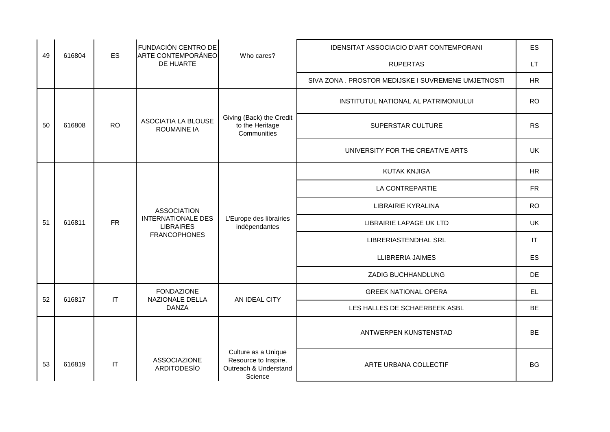| 49 | 616804 | <b>ES</b> | FUNDACIÓN CENTRO DE<br>ARTE CONTEMPORÁNEO                                                  | Who cares?                                                                      | IDENSITAT ASSOCIACIO D'ART CONTEMPORANI             | ES                     |
|----|--------|-----------|--------------------------------------------------------------------------------------------|---------------------------------------------------------------------------------|-----------------------------------------------------|------------------------|
|    |        |           | DE HUARTE                                                                                  |                                                                                 | <b>RUPERTAS</b>                                     | <b>LT</b>              |
|    |        |           |                                                                                            |                                                                                 | SIVA ZONA . PROSTOR MEDIJSKE I SUVREMENE UMJETNOSTI | HR                     |
|    |        |           |                                                                                            |                                                                                 | INSTITUTUL NATIONAL AL PATRIMONIULUI                | <b>RO</b>              |
| 50 | 616808 | <b>RO</b> | ASOCIATIA LA BLOUSE<br><b>ROUMAINE IA</b>                                                  | Giving (Back) the Credit<br>to the Heritage<br>Communities                      | SUPERSTAR CULTURE                                   | <b>RS</b>              |
|    |        |           |                                                                                            |                                                                                 | UNIVERSITY FOR THE CREATIVE ARTS                    | <b>UK</b>              |
|    |        |           |                                                                                            |                                                                                 | <b>KUTAK KNJIGA</b>                                 | <b>HR</b>              |
|    |        | <b>FR</b> | <b>ASSOCIATION</b><br><b>INTERNATIONALE DES</b><br><b>LIBRAIRES</b><br><b>FRANCOPHONES</b> | L'Europe des librairies<br>indépendantes                                        | LA CONTREPARTIE                                     | <b>FR</b>              |
|    |        |           |                                                                                            |                                                                                 | LIBRAIRIE KYRALINA                                  | <b>RO</b>              |
| 51 | 616811 |           |                                                                                            |                                                                                 | LIBRAIRIE LAPAGE UK LTD                             | <b>UK</b>              |
|    |        |           |                                                                                            |                                                                                 | <b>LIBRERIASTENDHAL SRL</b>                         | $\mathsf{I}\mathsf{T}$ |
|    |        |           |                                                                                            |                                                                                 | LLIBRERIA JAIMES                                    | <b>ES</b>              |
|    |        |           |                                                                                            |                                                                                 | ZADIG BUCHHANDLUNG                                  | DE                     |
| 52 | 616817 | IT        | <b>FONDAZIONE</b><br>NAZIONALE DELLA                                                       | AN IDEAL CITY                                                                   | <b>GREEK NATIONAL OPERA</b>                         | EL.                    |
|    |        |           | <b>DANZA</b>                                                                               |                                                                                 | LES HALLES DE SCHAERBEEK ASBL                       | <b>BE</b>              |
|    |        |           |                                                                                            |                                                                                 | ANTWERPEN KUNSTENSTAD                               | <b>BE</b>              |
| 53 | 616819 | IT        | <b>ASSOCIAZIONE</b><br><b>ARDITODESIO</b>                                                  | Culture as a Unique<br>Resource to Inspire,<br>Outreach & Understand<br>Science | ARTE URBANA COLLECTIF                               | <b>BG</b>              |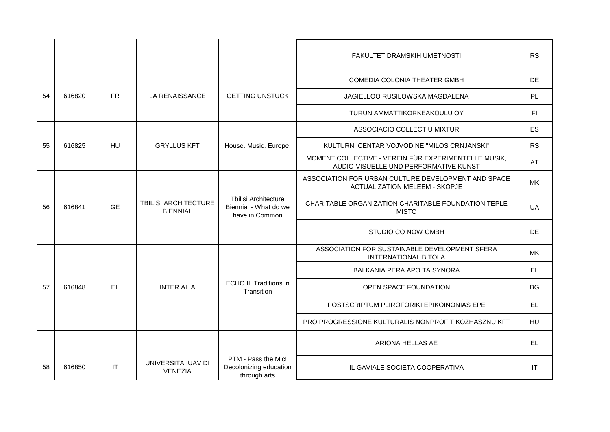|    |        |           |                                                |                                                                        | FAKULTET DRAMSKIH UMETNOSTI                                                                   | <b>RS</b> |
|----|--------|-----------|------------------------------------------------|------------------------------------------------------------------------|-----------------------------------------------------------------------------------------------|-----------|
|    |        |           |                                                |                                                                        | COMEDIA COLONIA THEATER GMBH                                                                  | <b>DE</b> |
| 54 | 616820 | <b>FR</b> | LA RENAISSANCE                                 | <b>GETTING UNSTUCK</b>                                                 | JAGIELLOO RUSILOWSKA MAGDALENA                                                                | PL        |
|    |        |           |                                                |                                                                        | TURUN AMMATTIKORKEAKOULU OY                                                                   | FI.       |
|    |        |           |                                                |                                                                        | ASSOCIACIO COLLECTIU MIXTUR                                                                   | ES        |
| 55 | 616825 | HU        | <b>GRYLLUS KFT</b>                             | House. Music. Europe.                                                  | KULTURNI CENTAR VOJVODINE "MILOS CRNJANSKI"                                                   | <b>RS</b> |
|    |        |           |                                                |                                                                        | MOMENT COLLECTIVE - VEREIN FÜR EXPERIMENTELLE MUSIK,<br>AUDIO-VISUELLE UND PERFORMATIVE KUNST | AT        |
|    |        |           |                                                |                                                                        | ASSOCIATION FOR URBAN CULTURE DEVELOPMENT AND SPACE<br><b>ACTUALIZATION MELEEM - SKOPJE</b>   | MK.       |
| 56 | 616841 | <b>GE</b> | <b>TBILISI ARCHITECTURE</b><br><b>BIENNIAL</b> | <b>Tbilisi Architecture</b><br>Biennial - What do we<br>have in Common | CHARITABLE ORGANIZATION CHARITABLE FOUNDATION TEPLE<br><b>MISTO</b>                           | UA        |
|    |        |           |                                                |                                                                        | STUDIO CO NOW GMBH                                                                            | DE.       |
|    |        |           |                                                |                                                                        | ASSOCIATION FOR SUSTAINABLE DEVELOPMENT SFERA<br><b>INTERNATIONAL BITOLA</b>                  | <b>MK</b> |
|    |        |           |                                                |                                                                        | BALKANIA PERA APO TA SYNORA                                                                   | EL        |
| 57 | 616848 | <b>EL</b> | <b>INTER ALIA</b>                              | ECHO II: Traditions in<br>Transition                                   | OPEN SPACE FOUNDATION                                                                         | <b>BG</b> |
|    |        |           |                                                |                                                                        | POSTSCRIPTUM PLIROFORIKI EPIKOINONIAS EPE                                                     | EL        |
|    |        |           |                                                |                                                                        | PRO PROGRESSIONE KULTURALIS NONPROFIT KOZHASZNU KFT                                           | <b>HU</b> |
|    |        |           |                                                |                                                                        | ARIONA HELLAS AE                                                                              | EL        |
| 58 | 616850 | IT        | UNIVERSITA IUAV DI<br><b>VENEZIA</b>           | PTM - Pass the Mic!<br>Decolonizing education<br>through arts          | IL GAVIALE SOCIETA COOPERATIVA                                                                | IT        |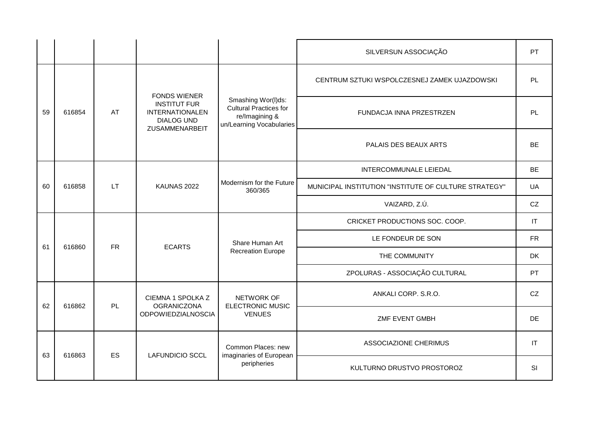|    |                                    |                                     |                                                                                                             |                                                                                                   | SILVERSUN ASSOCIAÇÃO                         | PT                     |
|----|------------------------------------|-------------------------------------|-------------------------------------------------------------------------------------------------------------|---------------------------------------------------------------------------------------------------|----------------------------------------------|------------------------|
|    |                                    |                                     |                                                                                                             |                                                                                                   | CENTRUM SZTUKI WSPOLCZESNEJ ZAMEK UJAZDOWSKI | PL                     |
| 59 | 616854                             | AT                                  | <b>FONDS WIENER</b><br><b>INSTITUT FUR</b><br><b>INTERNATIONALEN</b><br><b>DIALOG UND</b><br>ZUSAMMENARBEIT | Smashing Wor(I)ds:<br><b>Cultural Practices for</b><br>re/Imagining &<br>un/Learning Vocabularies | FUNDACJA INNA PRZESTRZEN                     | PL                     |
|    |                                    |                                     |                                                                                                             |                                                                                                   | PALAIS DES BEAUX ARTS                        | <b>BE</b>              |
|    |                                    |                                     |                                                                                                             |                                                                                                   | INTERCOMMUNALE LEIEDAL                       | <b>BE</b>              |
| 60 | <b>LT</b><br>616858<br>KAUNAS 2022 | Modernism for the Future<br>360/365 | MUNICIPAL INSTITUTION "INSTITUTE OF CULTURE STRATEGY"                                                       | UA                                                                                                |                                              |                        |
|    |                                    |                                     |                                                                                                             |                                                                                                   | VAIZARD, Z.Ú.                                | CZ                     |
|    |                                    | <b>FR</b>                           | <b>ECARTS</b>                                                                                               | Share Human Art<br><b>Recreation Europe</b>                                                       | CRICKET PRODUCTIONS SOC. COOP.               | $\mathsf{I}\mathsf{T}$ |
| 61 | 616860                             |                                     |                                                                                                             |                                                                                                   | LE FONDEUR DE SON                            | <b>FR</b>              |
|    |                                    |                                     |                                                                                                             |                                                                                                   | THE COMMUNITY                                | <b>DK</b>              |
|    |                                    |                                     |                                                                                                             |                                                                                                   | ZPOLURAS - ASSOCIAÇÃO CULTURAL               | <b>PT</b>              |
| 62 | 616862                             | <b>PL</b>                           | CIEMNA 1 SPOLKA Z<br><b>OGRANICZONA</b>                                                                     | NETWORK OF<br><b>ELECTRONIC MUSIC</b>                                                             | ANKALI CORP. S.R.O.                          | CZ                     |
|    |                                    |                                     | <b>ODPOWIEDZIALNOSCIA</b>                                                                                   | <b>VENUES</b>                                                                                     | ZMF EVENT GMBH                               | <b>DE</b>              |
|    | 616863                             |                                     | ES<br><b>LAFUNDICIO SCCL</b>                                                                                | Common Places: new<br>imaginaries of European                                                     | ASSOCIAZIONE CHERIMUS                        | $\mathsf{I}\mathsf{T}$ |
| 63 |                                    |                                     |                                                                                                             | peripheries                                                                                       | KULTURNO DRUSTVO PROSTOROZ                   | <b>SI</b>              |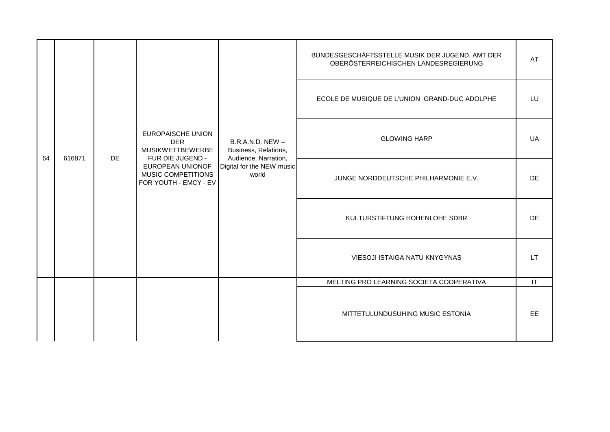|    |        |           |                                                                                | $B.R.A.N.D. NEW -$<br>Business, Relations,<br>Audience, Narration,<br>Digital for the NEW music<br>world | BUNDESGESCHÄFTSSTELLE MUSIK DER JUGEND, AMT DER<br>OBERÖSTERREICHISCHEN LANDESREGIERUNG | AT        |
|----|--------|-----------|--------------------------------------------------------------------------------|----------------------------------------------------------------------------------------------------------|-----------------------------------------------------------------------------------------|-----------|
|    |        |           |                                                                                |                                                                                                          | ECOLE DE MUSIQUE DE L'UNION GRAND-DUC ADOLPHE                                           | LU        |
| 64 | 616871 | <b>DE</b> | <b>EUROPAISCHE UNION</b><br><b>DER</b><br>MUSIKWETTBEWERBE<br>FUR DIE JUGEND - |                                                                                                          | <b>GLOWING HARP</b>                                                                     | UA        |
|    |        |           | EUROPEAN UNIONOF<br>MUSIC COMPETITIONS<br>FOR YOUTH - EMCY - EV                |                                                                                                          | JUNGE NORDDEUTSCHE PHILHARMONIE E.V.                                                    | <b>DE</b> |
|    |        |           |                                                                                |                                                                                                          | KULTURSTIFTUNG HOHENLOHE SDBR                                                           | <b>DE</b> |
|    |        |           |                                                                                |                                                                                                          | VIESOJI ISTAIGA NATU KNYGYNAS                                                           | LT.       |
|    |        |           |                                                                                |                                                                                                          | MELTING PRO LEARNING SOCIETA COOPERATIVA                                                | IT        |
|    |        |           |                                                                                |                                                                                                          | MITTETULUNDUSUHING MUSIC ESTONIA                                                        | <b>EE</b> |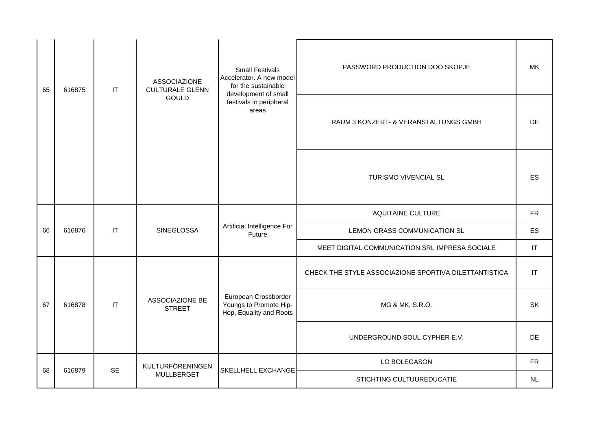| 65 | 616875 | IT        | <b>ASSOCIAZIONE</b><br><b>CULTURALE GLENN</b> | <b>Small Festivals</b><br>Accelerator. A new model<br>for the sustainable<br>development of small | PASSWORD PRODUCTION DOO SKOPJE                        | MK                     |
|----|--------|-----------|-----------------------------------------------|---------------------------------------------------------------------------------------------------|-------------------------------------------------------|------------------------|
|    |        |           | <b>GOULD</b>                                  | festivals in peripheral<br>areas                                                                  | RAUM 3 KONZERT- & VERANSTALTUNGS GMBH                 | DE.                    |
|    |        |           |                                               |                                                                                                   | TURISMO VIVENCIAL SL                                  | <b>ES</b>              |
|    |        |           |                                               |                                                                                                   | <b>AQUITAINE CULTURE</b>                              | <b>FR</b>              |
| 66 | 616876 | IT        | <b>SINEGLOSSA</b>                             | Artificial Intelligence For<br>Future                                                             | LEMON GRASS COMMUNICATION SL                          | ES                     |
|    |        |           |                                               |                                                                                                   | MEET DIGITAL COMMUNICATION SRL IMPRESA SOCIALE        | IT                     |
|    |        |           |                                               |                                                                                                   | CHECK THE STYLE ASSOCIAZIONE SPORTIVA DILETTANTISTICA | $\mathsf{I}\mathsf{T}$ |
| 67 | 616878 | IT        | ASSOCIAZIONE BE<br><b>STREET</b>              | European Crossborder<br>Youngs to Promote Hip-<br>Hop, Equality and Roots                         | MG & MK, S.R.O.                                       | <b>SK</b>              |
|    |        |           |                                               | UNDERGROUND SOUL CYPHER E.V.                                                                      | <b>DE</b>                                             |                        |
| 68 | 616879 | <b>SE</b> | KULTURFÖRENINGEN                              | SKELLHELL EXCHANGE                                                                                | LO BOLEGASON                                          | <b>FR</b>              |
|    |        |           | <b>MULLBERGET</b>                             |                                                                                                   | STICHTING CULTUUREDUCATIE                             | NL                     |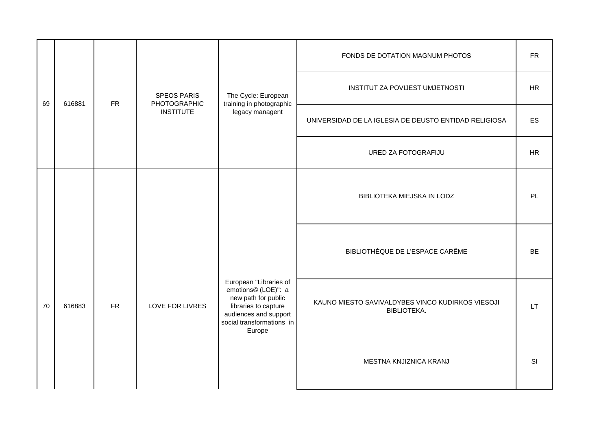|    |        |                                                                                                                                                                                               |                                                                        |                                                 | FONDS DE DOTATION MAGNUM PHOTOS                       | <b>FR</b> |
|----|--------|-----------------------------------------------------------------------------------------------------------------------------------------------------------------------------------------------|------------------------------------------------------------------------|-------------------------------------------------|-------------------------------------------------------|-----------|
| 69 | 616881 | <b>FR</b>                                                                                                                                                                                     | <b>SPEOS PARIS</b><br>PHOTOGRAPHIC                                     | The Cycle: European<br>training in photographic | <b>INSTITUT ZA POVIJEST UMJETNOSTI</b>                | HR        |
|    |        |                                                                                                                                                                                               | <b>INSTITUTE</b>                                                       | legacy managent                                 | UNIVERSIDAD DE LA IGLESIA DE DEUSTO ENTIDAD RELIGIOSA | ES        |
|    |        |                                                                                                                                                                                               |                                                                        |                                                 | URED ZA FOTOGRAFIJU                                   | <b>HR</b> |
|    |        |                                                                                                                                                                                               |                                                                        |                                                 | BIBLIOTEKA MIEJSKA IN LODZ                            | PL        |
|    |        | European "Libraries of<br>emotions© (LOE)": a<br>new path for public<br>${\sf FR}$<br>LOVE FOR LIVRES<br>libraries to capture<br>audiences and support<br>social transformations in<br>Europe |                                                                        |                                                 | BIBLIOTHÈQUE DE L'ESPACE CARÊME                       | <b>BE</b> |
| 70 | 616883 |                                                                                                                                                                                               | KAUNO MIESTO SAVIVALDYBES VINCO KUDIRKOS VIESOJI<br><b>BIBLIOTEKA.</b> | LT.                                             |                                                       |           |
|    |        |                                                                                                                                                                                               |                                                                        |                                                 | MESTNA KNJIZNICA KRANJ                                | SI        |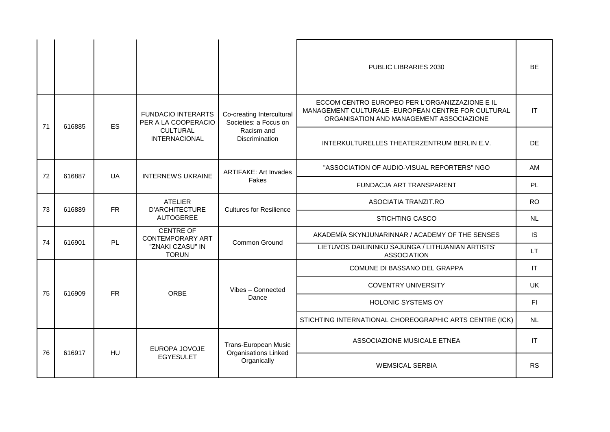|    |              |                                         |                                                  |                                                     | PUBLIC LIBRARIES 2030                                                                                                                             | <b>BE</b> |
|----|--------------|-----------------------------------------|--------------------------------------------------|-----------------------------------------------------|---------------------------------------------------------------------------------------------------------------------------------------------------|-----------|
| 71 | 616885       | <b>ES</b>                               | <b>FUNDACIO INTERARTS</b><br>PER A LA COOPERACIO | Co-creating Intercultural<br>Societies: a Focus on  | ECCOM CENTRO EUROPEO PER L'ORGANIZZAZIONE E IL<br>MANAGEMENT CULTURALE - EUROPEAN CENTRE FOR CULTURAL<br>ORGANISATION AND MANAGEMENT ASSOCIAZIONE | IT        |
|    |              | <b>CULTURAL</b><br><b>INTERNACIONAL</b> | Racism and<br><b>Discrimination</b>              | INTERKULTURELLES THEATERZENTRUM BERLIN E.V.         | <b>DE</b>                                                                                                                                         |           |
| 72 | 616887       | <b>UA</b>                               | <b>INTERNEWS UKRAINE</b>                         | <b>ARTIFAKE: Art Invades</b>                        | "ASSOCIATION OF AUDIO-VISUAL REPORTERS" NGO                                                                                                       | AM        |
|    |              | Fakes                                   | FUNDACJA ART TRANSPARENT                         | PL                                                  |                                                                                                                                                   |           |
| 73 | 616889       | <b>FR</b>                               | <b>ATELIER</b><br><b>D'ARCHITECTURE</b>          | <b>Cultures for Resilience</b>                      | ASOCIATIA TRANZIT.RO                                                                                                                              | <b>RO</b> |
|    |              |                                         | <b>AUTOGEREE</b>                                 |                                                     | <b>STICHTING CASCO</b>                                                                                                                            | NL.       |
| 74 | 616901       | PL                                      | <b>CENTRE OF</b><br><b>CONTEMPORARY ART</b>      | Common Ground                                       | AKADEMÍA SKYNJUNARINNAR / ACADEMY OF THE SENSES                                                                                                   | <b>IS</b> |
|    |              |                                         | "ZNAKI CZASU" IN<br><b>TORUN</b>                 |                                                     | LIETUVOS DAILININKU SAJUNGA / LITHUANIAN ARTISTS'<br><b>ASSOCIATION</b>                                                                           | LT.       |
|    |              |                                         |                                                  |                                                     | COMUNE DI BASSANO DEL GRAPPA                                                                                                                      | IT        |
| 75 | 616909       | <b>FR</b>                               | <b>ORBE</b>                                      | Vibes - Connected                                   | <b>COVENTRY UNIVERSITY</b>                                                                                                                        | <b>UK</b> |
|    |              |                                         |                                                  | Dance                                               | <b>HOLONIC SYSTEMS OY</b>                                                                                                                         | F1        |
|    |              |                                         |                                                  |                                                     | STICHTING INTERNATIONAL CHOREOGRAPHIC ARTS CENTRE (ICK)                                                                                           | NL        |
|    |              |                                         | EUROPA JOVOJE                                    | Trans-European Music<br><b>Organisations Linked</b> | ASSOCIAZIONE MUSICALE ETNEA                                                                                                                       | IT        |
|    | 76<br>616917 | <b>HU</b>                               | <b>EGYESULET</b>                                 | Organically                                         | <b>WEMSICAL SERBIA</b>                                                                                                                            | <b>RS</b> |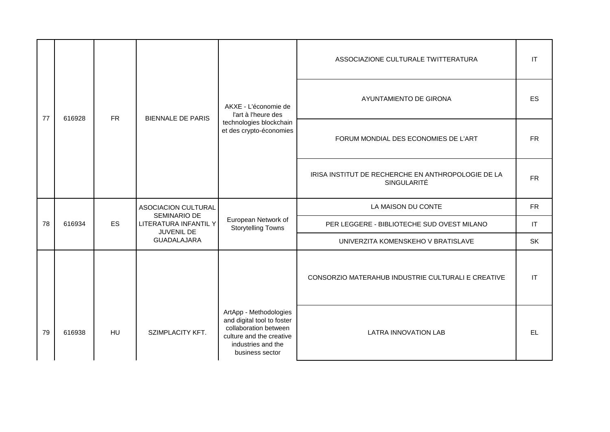|    |        |           |                                                     |                                                                                                                                                    | ASSOCIAZIONE CULTURALE TWITTERATURA                               |                        |
|----|--------|-----------|-----------------------------------------------------|----------------------------------------------------------------------------------------------------------------------------------------------------|-------------------------------------------------------------------|------------------------|
| 77 | 616928 | <b>FR</b> | <b>BIENNALE DE PARIS</b>                            | AKXE - L'économie de<br>l'art à l'heure des<br>technologies blockchain<br>et des crypto-économies                                                  | AYUNTAMIENTO DE GIRONA                                            | <b>ES</b>              |
|    |        |           |                                                     |                                                                                                                                                    | FORUM MONDIAL DES ECONOMIES DE L'ART                              | <b>FR</b>              |
|    |        |           |                                                     |                                                                                                                                                    | IRISA INSTITUT DE RECHERCHE EN ANTHROPOLOGIE DE LA<br>SINGULARITÉ | <b>FR</b>              |
|    |        |           | ASOCIACION CULTURAL                                 |                                                                                                                                                    | LA MAISON DU CONTE                                                | <b>FR</b>              |
| 78 | 616934 | ES        | SEMINARIO DE<br>LITERATURA INFANTIL Y<br>JUVENIL DE | European Network of<br><b>Storytelling Towns</b>                                                                                                   | PER LEGGERE - BIBLIOTECHE SUD OVEST MILANO                        | IT                     |
|    |        |           | <b>GUADALAJARA</b>                                  |                                                                                                                                                    | UNIVERZITA KOMENSKEHO V BRATISLAVE                                | <b>SK</b>              |
|    |        |           |                                                     |                                                                                                                                                    | CONSORZIO MATERAHUB INDUSTRIE CULTURALI E CREATIVE                | $\mathsf{I}\mathsf{T}$ |
| 79 | 616938 | <b>HU</b> | SZIMPLACITY KFT.                                    | ArtApp - Methodologies<br>and digital tool to foster<br>collaboration between<br>culture and the creative<br>industries and the<br>business sector | <b>LATRA INNOVATION LAB</b>                                       | EL                     |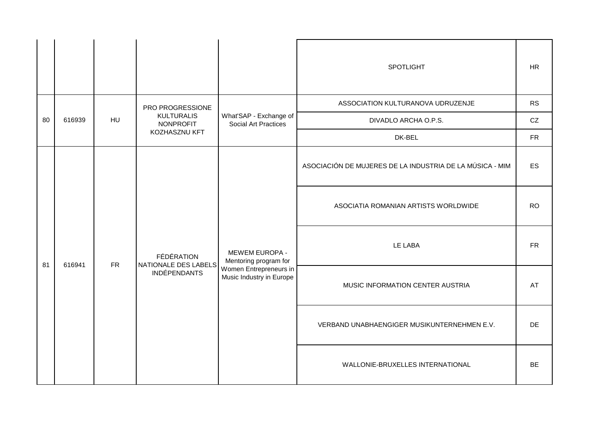|    |        |    |                                                                         |                                                                                               | SPOTLIGHT                                                | <b>HR</b>  |
|----|--------|----|-------------------------------------------------------------------------|-----------------------------------------------------------------------------------------------|----------------------------------------------------------|------------|
|    |        |    | PRO PROGRESSIONE                                                        |                                                                                               | ASSOCIATION KULTURANOVA UDRUZENJE                        | <b>RS</b>  |
| 80 | 616939 | HU | <b>KULTURALIS</b><br>NONPROFIT                                          | What'SAP - Exchange of<br>Social Art Practices                                                | DIVADLO ARCHA O.P.S.                                     | ${\rm CZ}$ |
|    |        |    | KOZHASZNU KFT                                                           |                                                                                               | DK-BEL                                                   | ${\sf FR}$ |
|    | 616941 |    |                                                                         | MEWEM EUROPA -<br>Mentoring program for<br>Women Entrepreneurs in<br>Music Industry in Europe | ASOCIACIÓN DE MUJERES DE LA INDUSTRIA DE LA MÚSICA - MIM | ES         |
|    |        |    |                                                                         |                                                                                               | ASOCIATIA ROMANIAN ARTISTS WORLDWIDE                     | <b>RO</b>  |
| 81 |        |    | FÉDÉRATION<br>${\sf FR}$<br>NATIONALE DES LABELS<br><b>INDÉPENDANTS</b> |                                                                                               | LE LABA                                                  | ${\sf FR}$ |
|    |        |    |                                                                         |                                                                                               | MUSIC INFORMATION CENTER AUSTRIA                         | AT         |
|    |        |    |                                                                         |                                                                                               | VERBAND UNABHAENGIGER MUSIKUNTERNEHMEN E.V.              | DE         |
|    |        |    |                                                                         |                                                                                               | WALLONIE-BRUXELLES INTERNATIONAL                         | BE         |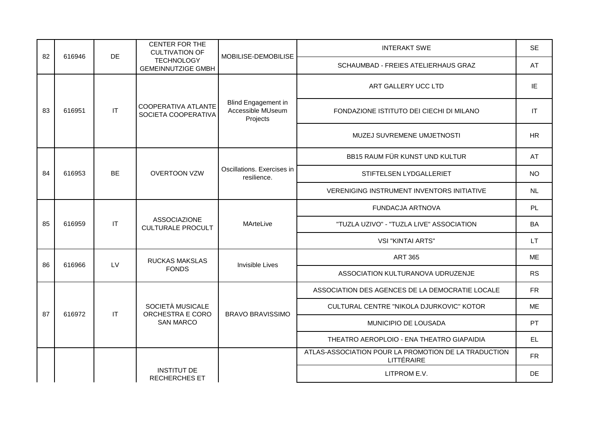| 82 | 616946 | <b>DE</b>              | <b>CENTER FOR THE</b><br><b>CULTIVATION OF</b>  | MOBILISE-DEMOBILISE                                  | <b>INTERAKT SWE</b>                                                | <b>SE</b> |
|----|--------|------------------------|-------------------------------------------------|------------------------------------------------------|--------------------------------------------------------------------|-----------|
|    |        |                        | <b>TECHNOLOGY</b><br><b>GEMEINNUTZIGE GMBH</b>  |                                                      | SCHAUMBAD - FREIES ATELIERHAUS GRAZ                                | AT        |
|    |        |                        |                                                 |                                                      | ART GALLERY UCC LTD                                                | IE        |
| 83 | 616951 | $\mathsf{I}\mathsf{T}$ | COOPERATIVA ATLANTE<br>SOCIETA COOPERATIVA      | Blind Engagement in<br>Accessible MUseum<br>Projects | FONDAZIONE ISTITUTO DEI CIECHI DI MILANO                           | IT        |
|    |        |                        |                                                 |                                                      | MUZEJ SUVREMENE UMJETNOSTI                                         | HR        |
|    |        |                        |                                                 |                                                      | BB15 RAUM FÜR KUNST UND KULTUR                                     | AT        |
| 84 | 616953 | <b>BE</b>              | <b>OVERTOON VZW</b>                             | Oscillations. Exercises in<br>resilience.            | STIFTELSEN LYDGALLERIET                                            | <b>NO</b> |
|    |        |                        |                                                 |                                                      | <b>VERENIGING INSTRUMENT INVENTORS INITIATIVE</b>                  | NL.       |
|    |        |                        | <b>ASSOCIAZIONE</b><br><b>CULTURALE PROCULT</b> | MArteLive                                            | FUNDACJA ARTNOVA                                                   | PL        |
| 85 | 616959 | $\mathsf{I}\mathsf{T}$ |                                                 |                                                      | "TUZLA UZIVO" - "TUZLA LIVE" ASSOCIATION                           | BA        |
|    |        |                        |                                                 |                                                      | <b>VSI "KINTAI ARTS"</b>                                           | <b>LT</b> |
| 86 | 616966 | LV                     | RUCKAS MAKSLAS                                  | Invisible Lives                                      | <b>ART 365</b>                                                     | <b>ME</b> |
|    |        |                        | <b>FONDS</b>                                    |                                                      | ASSOCIATION KULTURANOVA UDRUZENJE                                  | <b>RS</b> |
|    |        |                        |                                                 |                                                      | ASSOCIATION DES AGENCES DE LA DEMOCRATIE LOCALE                    | <b>FR</b> |
| 87 | 616972 | IT                     | SOCIETÀ MUSICALE<br>ORCHESTRA E CORO            | <b>BRAVO BRAVISSIMO</b>                              | CULTURAL CENTRE "NIKOLA DJURKOVIC" KOTOR                           | <b>ME</b> |
|    |        |                        | <b>SAN MARCO</b>                                |                                                      | MUNICIPIO DE LOUSADA                                               | PT        |
|    |        |                        |                                                 |                                                      | THEATRO AEROPLOIO - ENA THEATRO GIAPAIDIA                          | EL.       |
|    |        |                        |                                                 |                                                      | ATLAS-ASSOCIATION POUR LA PROMOTION DE LA TRADUCTION<br>LITTÉRAIRE | <b>FR</b> |
|    |        |                        | <b>INSTITUT DE</b><br><b>RECHERCHES ET</b>      |                                                      | LITPROM E.V.                                                       | <b>DE</b> |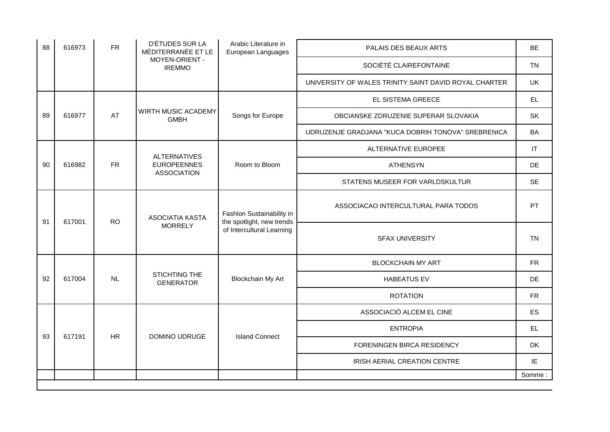| 88 | 616973 | <b>FR</b> | D'ÉTUDES SUR LA<br>MÉDITERRANÉE ET LE                 | Arabic Literature in<br>European Languages                                          | PALAIS DES BEAUX ARTS                                 | <b>BE</b>              |
|----|--------|-----------|-------------------------------------------------------|-------------------------------------------------------------------------------------|-------------------------------------------------------|------------------------|
|    |        |           | MOYEN-ORIENT -<br><b>IREMMO</b>                       |                                                                                     | SOCIÉTÉ CLAIREFONTAINE                                | <b>TN</b>              |
|    |        |           |                                                       |                                                                                     | UNIVERSITY OF WALES TRINITY SAINT DAVID ROYAL CHARTER | <b>UK</b>              |
|    |        |           |                                                       |                                                                                     | EL SISTEMA GREECE                                     | <b>EL</b>              |
| 89 | 616977 | AT        | WIRTH MUSIC ACADEMY<br><b>GMBH</b>                    | Songs for Europe                                                                    | OBCIANSKE ZDRUZENIE SUPERAR SLOVAKIA                  | <b>SK</b>              |
|    |        |           |                                                       |                                                                                     | UDRUZENJE GRADJANA "KUCA DOBRIH TONOVA" SREBRENICA    | <b>BA</b>              |
|    |        |           | <b>ALTERNATIVES</b>                                   |                                                                                     | ALTERNATIVE EUROPEE                                   | $\mathsf{I}\mathsf{T}$ |
| 90 | 616982 | <b>FR</b> | <b>EUROPEENNES</b><br><b>ASSOCIATION</b>              | Room to Bloom                                                                       | <b>ATHENSYN</b>                                       | <b>DE</b>              |
|    |        |           |                                                       |                                                                                     | STATENS MUSEER FOR VARLDSKULTUR                       | <b>SE</b>              |
| 91 | 617001 |           | <b>ASOCIATIA KASTA</b><br><b>RO</b><br><b>MORRELY</b> | Fashion Sustainability in<br>the spotlight, new trends<br>of Intercultural Learning | ASSOCIACAO INTERCULTURAL PARA TODOS                   | PT                     |
|    |        |           |                                                       |                                                                                     | <b>SFAX UNIVERSITY</b>                                | <b>TN</b>              |
|    |        |           |                                                       |                                                                                     | <b>BLOCKCHAIN MY ART</b>                              | <b>FR</b>              |
| 92 | 617004 | NL        | STICHTING THE<br><b>GENERATOR</b>                     | Blockchain My Art                                                                   | <b>HABEATUS EV</b>                                    | <b>DE</b>              |
|    |        |           |                                                       |                                                                                     | <b>ROTATION</b>                                       | <b>FR</b>              |
|    |        |           |                                                       |                                                                                     | ASSOCIACIÓ ALCEM EL CINE                              | ES                     |
| 93 | 617191 | <b>HR</b> | DOMINO UDRUGE                                         | <b>Island Connect</b>                                                               | <b>ENTROPIA</b>                                       | <b>EL</b>              |
|    |        |           |                                                       |                                                                                     | FORENINGEN BIRCA RESIDENCY                            | DK                     |
|    |        |           |                                                       |                                                                                     | IRISH AERIAL CREATION CENTRE                          | IE                     |
|    |        |           |                                                       |                                                                                     |                                                       | Somme:                 |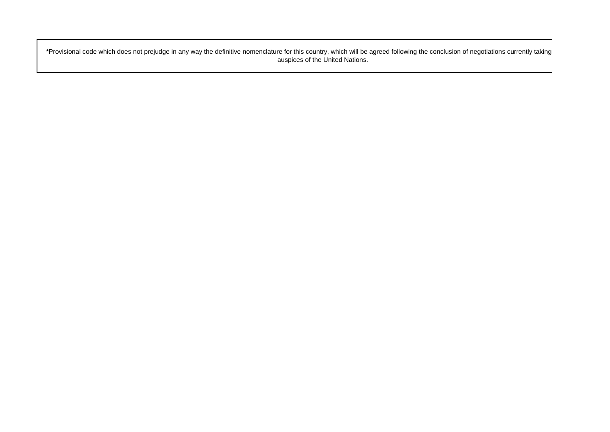\*Provisional code which does not prejudge in any way the definitive nomenclature for this country, which will be agreed following the conclusion of negotiations currently taking auspices of the United Nations.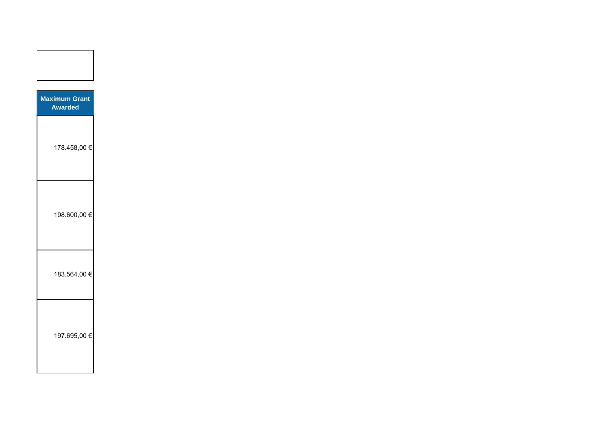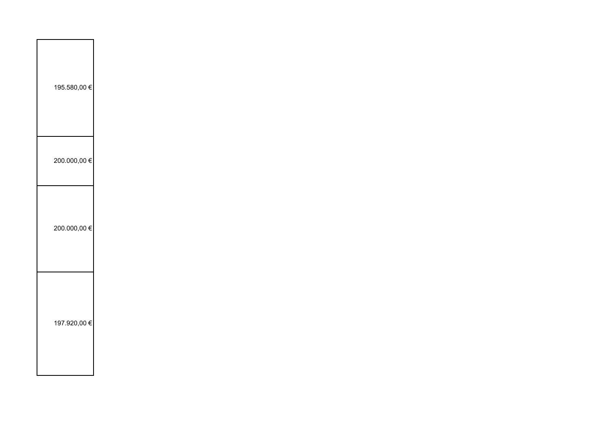| 195.580,00 € |  |  |  |
|--------------|--|--|--|
| 200.000,00 € |  |  |  |
| 200.000,00 € |  |  |  |
| 197.920,00 € |  |  |  |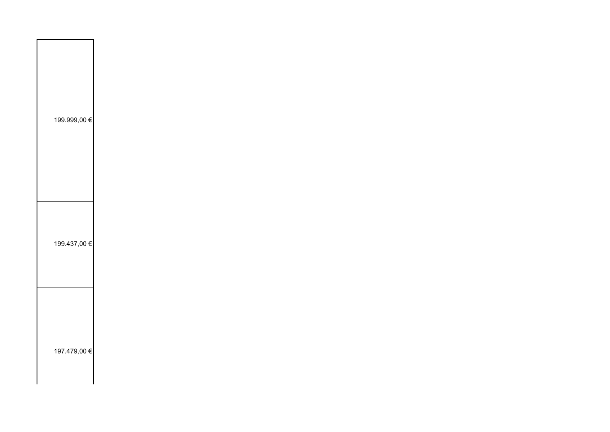| 199.999,00 € |  |  |
|--------------|--|--|
|              |  |  |
|              |  |  |
|              |  |  |
|              |  |  |
|              |  |  |
|              |  |  |
|              |  |  |
|              |  |  |
|              |  |  |
|              |  |  |
|              |  |  |
|              |  |  |
|              |  |  |
| 199.437,00 € |  |  |
|              |  |  |
|              |  |  |
|              |  |  |
|              |  |  |
|              |  |  |
|              |  |  |
|              |  |  |
|              |  |  |
|              |  |  |
|              |  |  |
|              |  |  |
| 197.479,00 € |  |  |
|              |  |  |
|              |  |  |
|              |  |  |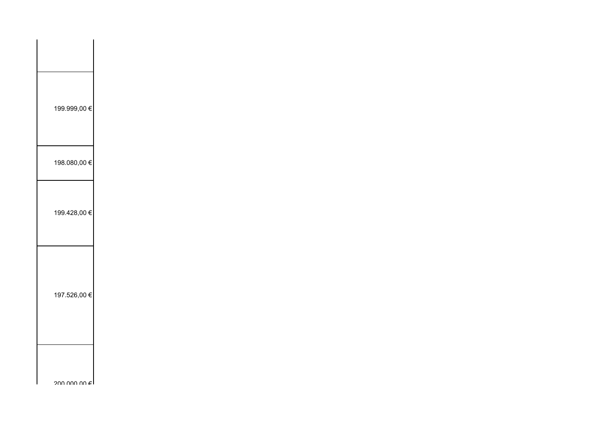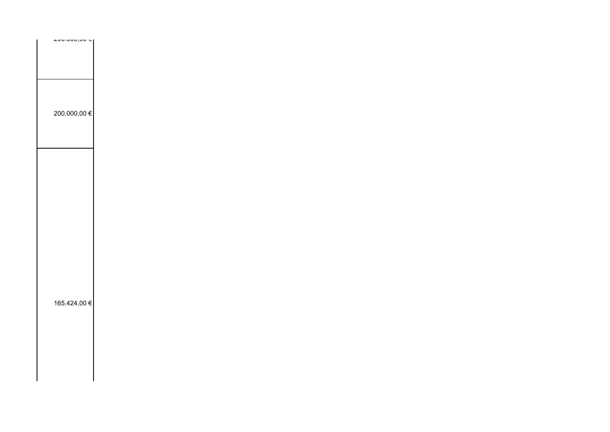| 200.000,00 € |  |
|--------------|--|
|              |  |
|              |  |
|              |  |
|              |  |
|              |  |
|              |  |
|              |  |
|              |  |
|              |  |
|              |  |
|              |  |
|              |  |
|              |  |
|              |  |
|              |  |
|              |  |
|              |  |
|              |  |
|              |  |
|              |  |
|              |  |
|              |  |
|              |  |
|              |  |
|              |  |
|              |  |
|              |  |
|              |  |
|              |  |
| 165.424,00 € |  |
|              |  |
|              |  |
|              |  |
|              |  |
|              |  |
|              |  |
|              |  |
|              |  |
|              |  |
|              |  |
|              |  |
|              |  |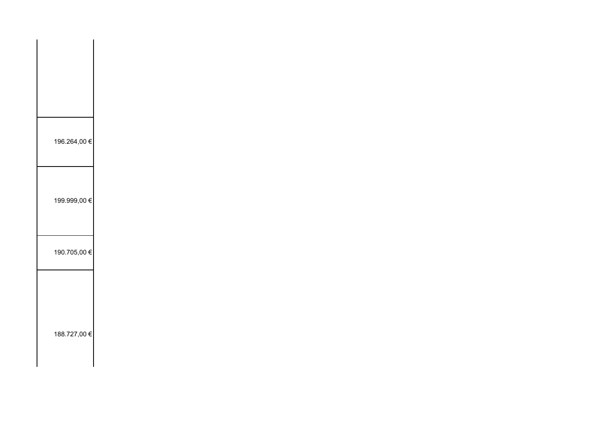| 196.264,00 € |
|--------------|
| 199.999,00 € |
| 190.705,00 € |
| 188.727,00 € |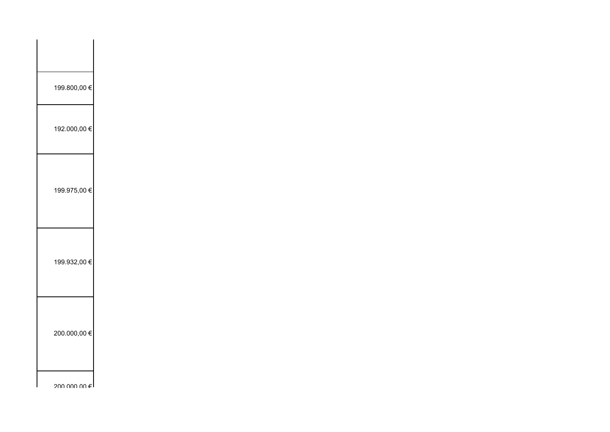| 199.800,00 €            |
|-------------------------|
| 192.000,00 €            |
|                         |
| 199.975,00 €            |
|                         |
| 199.932,00 €            |
|                         |
| 200.000,00 €            |
|                         |
| auu uuu uu <del>∈</del> |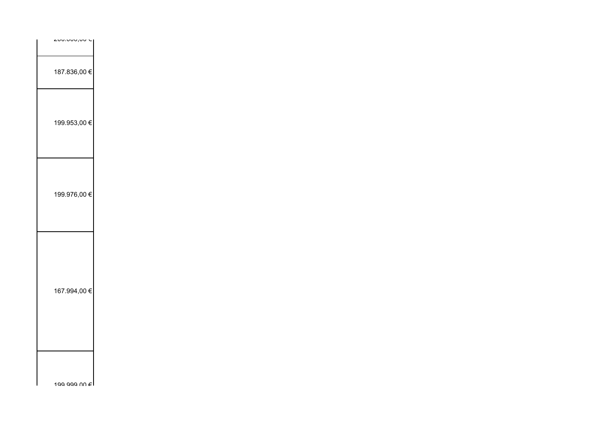| 187.836,00 €        |  |  |
|---------------------|--|--|
|                     |  |  |
|                     |  |  |
|                     |  |  |
|                     |  |  |
| 199.953,00 €        |  |  |
|                     |  |  |
|                     |  |  |
|                     |  |  |
|                     |  |  |
|                     |  |  |
| 199.976,00 €        |  |  |
|                     |  |  |
|                     |  |  |
|                     |  |  |
|                     |  |  |
|                     |  |  |
|                     |  |  |
|                     |  |  |
|                     |  |  |
| 167.994,00 €        |  |  |
|                     |  |  |
|                     |  |  |
|                     |  |  |
|                     |  |  |
|                     |  |  |
|                     |  |  |
|                     |  |  |
|                     |  |  |
| 199 999 ∪∪ € I<br>ш |  |  |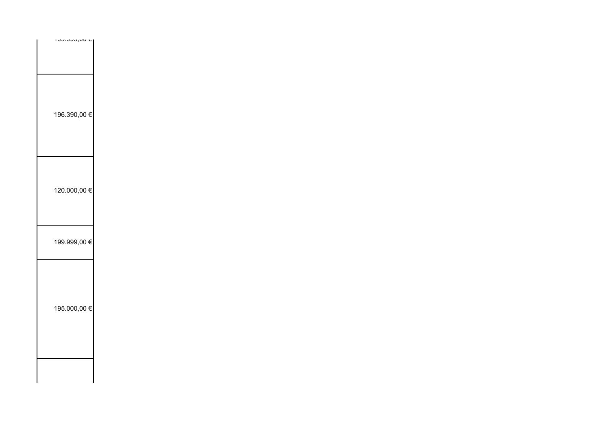| $100.000,00\le$ |  |  |
|-----------------|--|--|
|                 |  |  |
|                 |  |  |
|                 |  |  |
|                 |  |  |
|                 |  |  |
|                 |  |  |
| 196.390,00 €    |  |  |
|                 |  |  |
|                 |  |  |
|                 |  |  |
|                 |  |  |
|                 |  |  |
| 120.000,00 €    |  |  |
|                 |  |  |
|                 |  |  |
|                 |  |  |
|                 |  |  |
| 199.999,00 €    |  |  |
|                 |  |  |
|                 |  |  |
|                 |  |  |
|                 |  |  |
|                 |  |  |
| 195.000,00 €    |  |  |
|                 |  |  |
|                 |  |  |
|                 |  |  |
|                 |  |  |
|                 |  |  |
|                 |  |  |
|                 |  |  |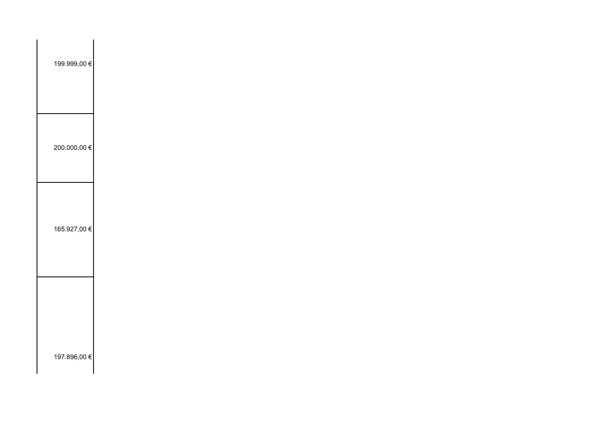| 199.999,00 € |  |  |
|--------------|--|--|
| 200.000,00 € |  |  |
| 165.927,00 € |  |  |
| 197.896,00 € |  |  |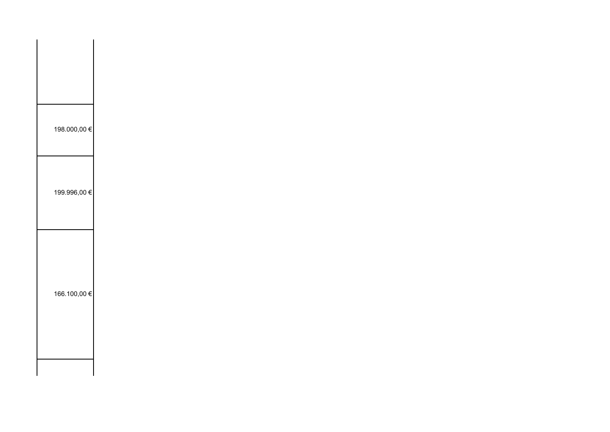| 198.000,00 € |  |  |  |
|--------------|--|--|--|
| 199.996,00 € |  |  |  |
| 166.100,00 € |  |  |  |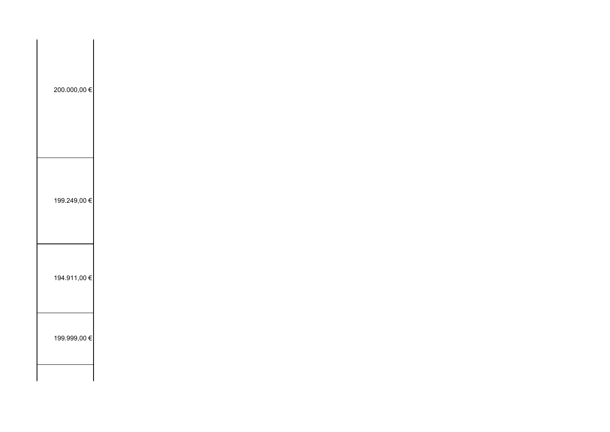| 200.000,00 € |  |  |
|--------------|--|--|
| 199.249,00 € |  |  |
| 194.911,00 € |  |  |
| 199.999,00 € |  |  |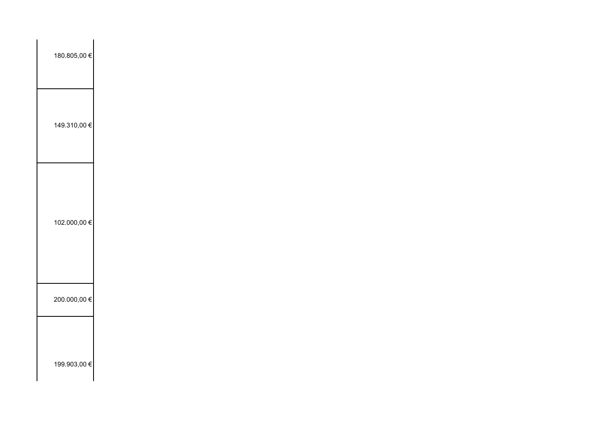| 180.805,00 € |  |  |  |
|--------------|--|--|--|
| 149.310,00 € |  |  |  |
| 102.000,00 € |  |  |  |
| 200.000,00 € |  |  |  |
| 199.903,00 € |  |  |  |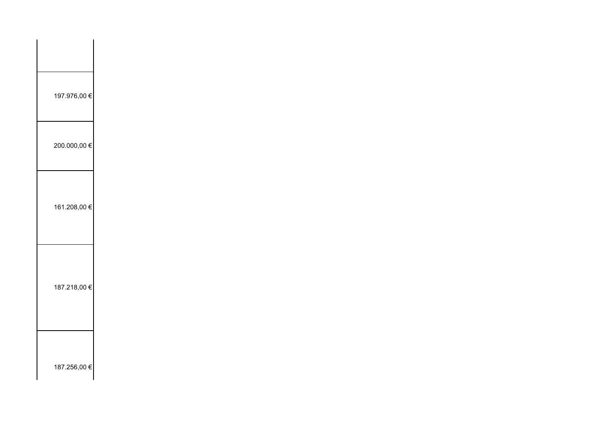| 197.976,00 € |
|--------------|
| 200.000,00 € |
| 161.208,00 € |
|              |
| 187.218,00 € |
|              |
| 187.256,00 € |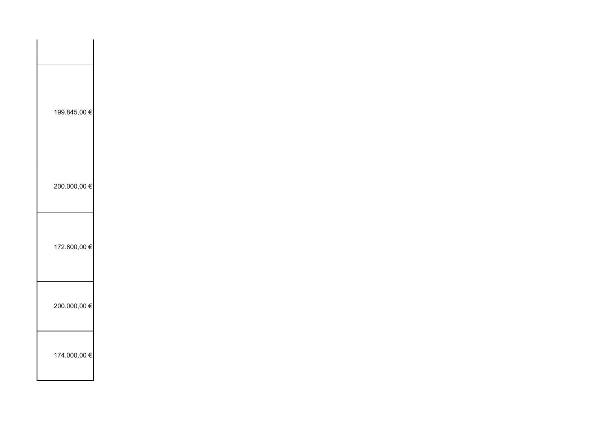| 199.845,00 € |  |  |
|--------------|--|--|
| 200.000,00 € |  |  |
| 172.800,00 € |  |  |
| 200.000,00 € |  |  |
| 174.000,00 € |  |  |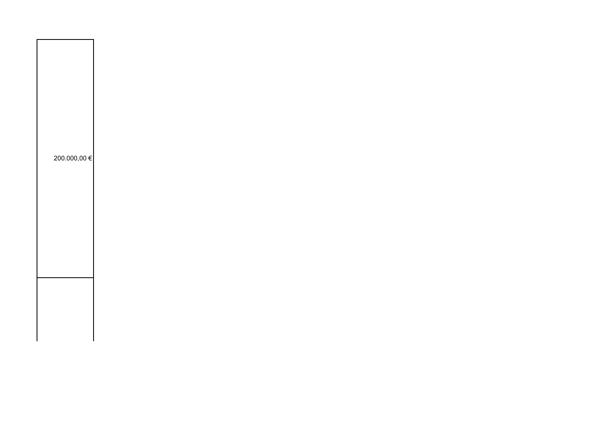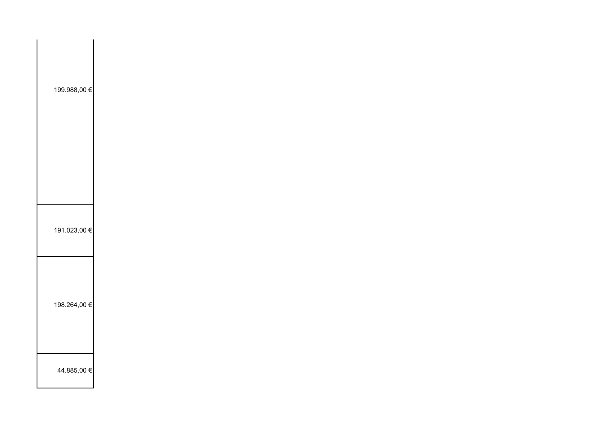| 199.988,00 € |  |  |  |
|--------------|--|--|--|
| 191.023,00 € |  |  |  |
| 198.264,00 € |  |  |  |
| 44.885,00 €  |  |  |  |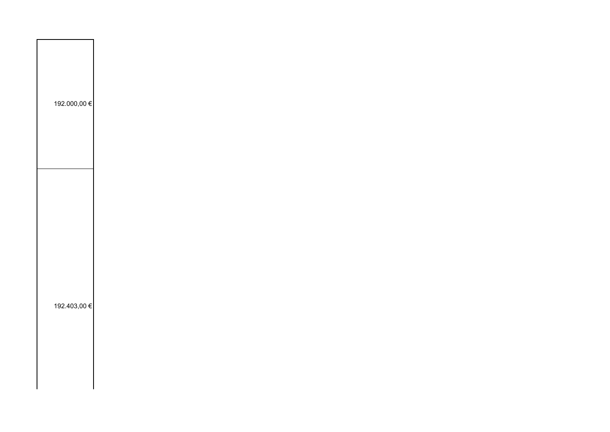| 192.000,00 € |  |  |  |  |
|--------------|--|--|--|--|
| 192.403,00 € |  |  |  |  |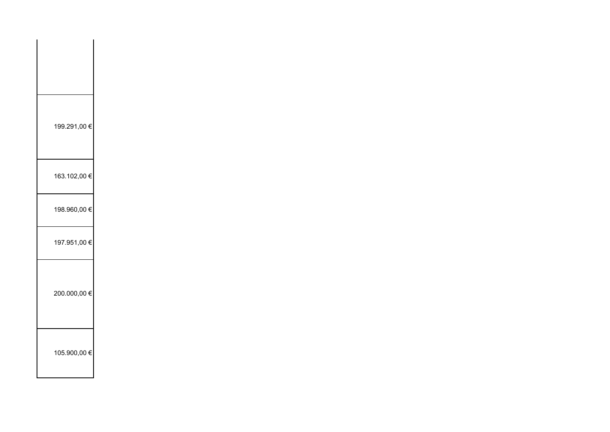| 199.291,00 € |  |
|--------------|--|
| 163.102,00 € |  |
| 198.960,00 € |  |
| 197.951,00 € |  |
| 200.000,00 € |  |
| 105.900,00 € |  |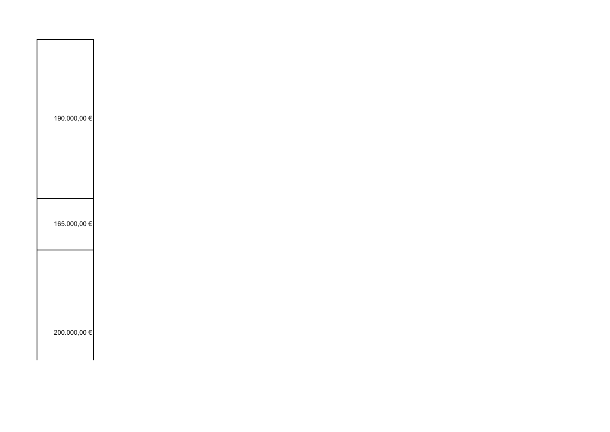| 190.000,00 € |  |  |  |
|--------------|--|--|--|
| 165.000,00 € |  |  |  |
|              |  |  |  |
| 200.000,00 € |  |  |  |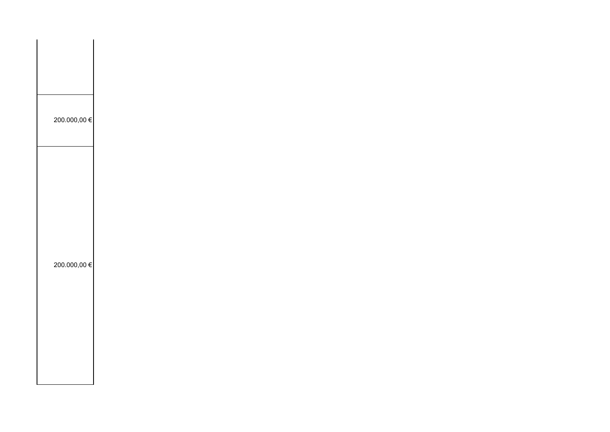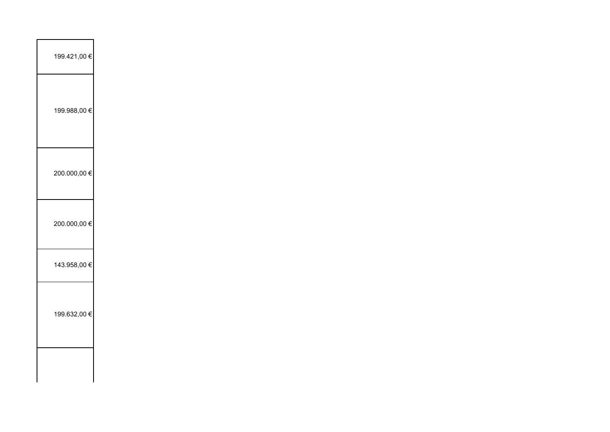| 199.421,00 € |  |  |  |
|--------------|--|--|--|
| 199.988,00 € |  |  |  |
| 200.000,00 € |  |  |  |
| 200.000,00 € |  |  |  |
| 143.958,00 € |  |  |  |
| 199.632,00 € |  |  |  |
| $\mathbf{I}$ |  |  |  |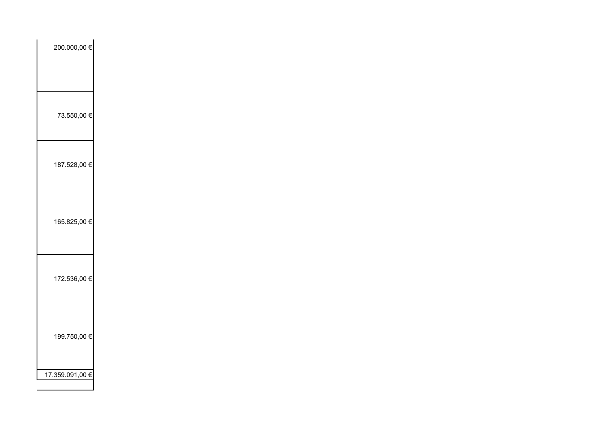| 200.000,00 €    |  |  |
|-----------------|--|--|
|                 |  |  |
|                 |  |  |
| 73.550,00 €     |  |  |
|                 |  |  |
|                 |  |  |
| 187.528,00 €    |  |  |
|                 |  |  |
|                 |  |  |
| 165.825,00 €    |  |  |
|                 |  |  |
|                 |  |  |
| 172.536,00 €    |  |  |
|                 |  |  |
|                 |  |  |
| 199.750,00 €    |  |  |
|                 |  |  |
| 17.359.091,00 € |  |  |